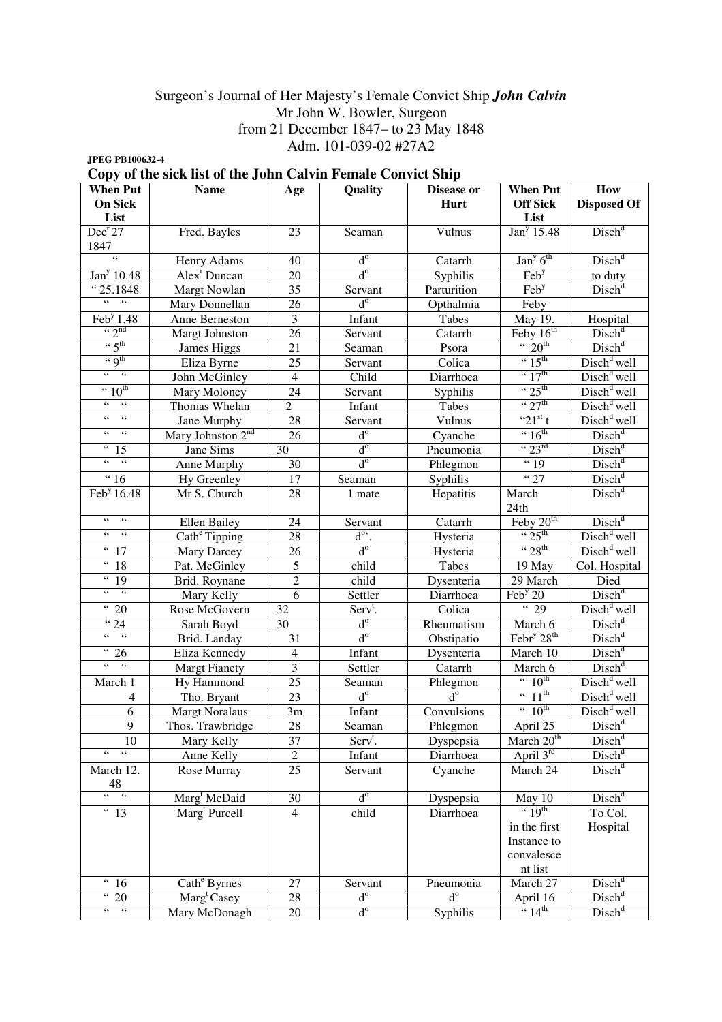## Surgeon's Journal of Her Majesty's Female Convict Ship *John Calvin*  Mr John W. Bowler, Surgeon from 21 December 1847– to 23 May 1848 Adm. 101-039-02 #27A2

**JPEG PB100632-4** 

|  |  |  |  |  |  |  |  | Copy of the sick list of the John Calvin Female Convict Ship |  |
|--|--|--|--|--|--|--|--|--------------------------------------------------------------|--|
|--|--|--|--|--|--|--|--|--------------------------------------------------------------|--|

| <b>When Put</b><br><b>On Sick</b>                             | <b>Name</b>                   | Age                     | Quality                            | <b>Disease or</b><br><b>Hurt</b> | <b>When Put</b><br><b>Off Sick</b>               | How<br><b>Disposed Of</b>               |
|---------------------------------------------------------------|-------------------------------|-------------------------|------------------------------------|----------------------------------|--------------------------------------------------|-----------------------------------------|
| List                                                          |                               |                         |                                    |                                  | List                                             |                                         |
| Dec <sup>r</sup> 27<br>1847                                   | Fred. Bayles                  | 23                      | Seaman                             | Vulnus                           | Jan <sup>y</sup> 15.48                           | Disch <sup>d</sup>                      |
| $\epsilon\epsilon$                                            | Henry Adams                   | 40                      | $d^{\circ}$                        | Catarrh                          | $\overline{\text{Jan}^{\text{y}} 6^{\text{th}}}$ | Disch <sup>d</sup>                      |
| Jan <sup>y</sup> 10.48                                        | Alex <sup>r</sup> Duncan      | 20                      | $d^{\circ}$                        | Syphilis                         | $\overline{\text{Feb}^y}$                        | to duty                                 |
| "25.1848                                                      | Margt Nowlan                  | 35                      | Servant                            | Parturition                      | Feb <sup>y</sup>                                 | Disch <sup>d</sup>                      |
| $66 - 66$                                                     | Mary Donnellan                | 26                      | $d^{\circ}$                        | Opthalmia                        | Feby                                             |                                         |
| $\overline{\text{Feb}^{\text{y}} 1.48}$                       | Anne Berneston                | $\overline{\mathbf{3}}$ | Infant                             | Tabes                            | May 19.                                          | Hospital                                |
| $\left\lq \right\lq$ $\gamma$ <sup>nd</sup>                   | <b>Margt Johnston</b>         | 26                      | Servant                            | Catarrh                          | Feby $16th$                                      | Disch <sup>d</sup>                      |
| $\cdot \cdot 5^{\text{th}}$                                   | James Higgs                   | 21                      | Seaman                             | Psora                            | $\cdot \cdot 20^{th}$                            | Disch <sup>d</sup>                      |
| $\lq\lq$ of the set of $q$                                    | Eliza Byrne                   | 25                      | Servant                            | Colica                           | $\cdot \cdot 15^{\text{th}}$                     | Disch <sup>d</sup> well                 |
| $66 - 66$                                                     | John McGinley                 | $\overline{4}$          | Child                              | Diarrhoea                        | $\cdot \cdot 17^{\text{th}}$                     | $Dischd$ well                           |
| $\cdot \cdot 10^{th}$                                         | Mary Moloney                  | 24                      | Servant                            | Syphilis                         | $\cdot \cdot 25^{\text{th}}$                     | Disch <sup>d</sup> well                 |
| $\mathfrak{c}\mathfrak{c}$<br>$\epsilon\epsilon$              | Thomas Whelan                 | $\overline{2}$          | Infant                             | Tabes                            | $\cdot \cdot 27$ <sup>th</sup>                   | $Distd$ well                            |
| $66 - 66$                                                     | Jane Murphy                   | 28                      | Servant                            | Vulnus                           | " $21^{st}$ t                                    | Disch <sup>d</sup> well                 |
| 66<br>$66 -$                                                  | Mary Johnston 2 <sup>nd</sup> | 26                      | $d^{\circ}$                        | Cyanche                          | $\cdot \cdot 16^{\text{th}}$                     | Disch <sup>d</sup>                      |
| $\overline{15}$                                               | Jane Sims                     | 30                      | $d^{\circ}$                        | Pneumonia                        | $\cdot \cdot 23^{\text{rd}}$                     | Disch <sup>d</sup>                      |
| $\mathfrak{c}\mathfrak{c}$<br>$\epsilon$                      | Anne Murphy                   | 30                      | $d^{\circ}$                        | Phlegmon                         | " <sup>19</sup>                                  |                                         |
| $\frac{16}{16}$                                               | Hy Greenley                   | 17                      | Seaman                             | Syphilis                         | "27                                              | $\frac{\text{Disch}^d}{\text{Disch}^d}$ |
| Feb <sup>y</sup> 16.48                                        | Mr S. Church                  | 28                      | 1 mate                             | Hepatitis                        | March<br>24th                                    | Disch <sup>d</sup>                      |
| $\zeta\,\zeta$<br>$\zeta\,\zeta$                              | <b>Ellen Bailey</b>           | 24                      |                                    |                                  | Feby 20 <sup>th</sup>                            | Disch <sup>d</sup>                      |
| $\zeta$ $\zeta$<br>$\epsilon$ $\epsilon$                      |                               | 28                      | Servant<br>$d^{ov}$ .              | Catarrh                          | $\cdot \cdot 25^{\text{th}}$                     | Disch <sup>d</sup> well                 |
| $\zeta\,\zeta$<br>17                                          | Cath <sup>e</sup> Tipping     | 26                      | $d^{\circ}$                        | Hysteria                         | $\cdot \cdot 28$ <sup>th</sup>                   | $\overline{\text{Disk}}^d$ well         |
| $\boldsymbol{\zeta} \, \boldsymbol{\zeta}$<br>18              | Mary Darcey                   |                         |                                    | Hysteria                         |                                                  |                                         |
| $\boldsymbol{\epsilon}$                                       | Pat. McGinley                 | 5                       | child                              | Tabes                            | 19 May                                           | Col. Hospital                           |
| 19<br>$\zeta\,\zeta$<br>$\zeta\,\zeta$                        | Brid. Roynane                 | $\overline{c}$<br>6     | child                              | Dysenteria                       | 29 March                                         | Died<br>$\overline{\text{Disk}}^d$      |
| $\epsilon\,\epsilon$                                          | Mary Kelly                    |                         | Settler                            | Diarrhoea                        | $\text{Feb}^{\text{y}}$ 20<br>$\overline{29}$    |                                         |
| 20<br>" <sup>24</sup>                                         | Rose McGovern                 | 32                      | Serv <sup>t</sup> .<br>$d^{\circ}$ | Colica                           |                                                  | $Dischd$ well                           |
| $\epsilon\epsilon$<br>$\epsilon$ $\epsilon$                   | Sarah Boyd                    | 30                      | $d^{\circ}$                        | Rheumatism                       | March 6                                          | Disch <sup>d</sup>                      |
| $\epsilon\,\epsilon$                                          | Brid. Landay                  | 31                      |                                    | Obstipatio                       | Febr <sup>y</sup> 28 <sup>th</sup>               | Disch <sup>d</sup>                      |
| 26<br>$\overline{\mathfrak{c}}$<br>$\zeta\,\zeta$             | Eliza Kennedy                 | $\overline{4}$          | Infant                             | Dysenteria                       | March 10                                         | Disch <sup>d</sup>                      |
|                                                               | <b>Margt Fianety</b>          | $\overline{\mathbf{3}}$ | Settler                            | Catarrh                          | March 6<br>$\cdot \cdot 10^{th}$                 | $Disch^d$                               |
| March 1                                                       | Hy Hammond                    | 25                      | Seaman                             | Phlegmon                         | $\cdot \cdot 11^{\text{th}}$                     | Disch <sup>d</sup> well                 |
| 4                                                             | Tho. Bryant                   | 23                      | $d^{\circ}$                        | $d^{\circ}$                      | $\cdot \cdot 10^{th}$                            | Disch <sup>d</sup> well                 |
| 6                                                             | <b>Margt Noralaus</b>         | 3m                      | Infant                             | Convulsions                      |                                                  | Disch <sup>d</sup> well                 |
| $\overline{9}$                                                | Thos. Trawbridge              | $\overline{28}$         | Seaman                             | Phlegmon                         | April 25                                         | Disch <sup>d</sup>                      |
| 10<br>$\overline{\mathfrak{c}\mathfrak{c}}$<br>$\zeta\,\zeta$ | Mary Kelly                    | 37                      | $Servt$ .                          | Dyspepsia                        | March $20th$                                     | $Disch^d$                               |
|                                                               | Anne Kelly                    | $\mathbf{2}$            | Infant                             | Diarrhoea                        | April 3rd                                        | $Disch^d$                               |
| March 12.<br>48                                               | Rose Murray                   | 25                      | Servant                            | Cyanche                          | March 24                                         | Disch <sup>d</sup>                      |
| $66 - 66$                                                     | Marg <sup>t</sup> McDaid      | 30                      | $d^{\circ}$                        | Dyspepsia                        | May 10                                           | Disch <sup>d</sup>                      |
| $\overline{43}$                                               | Marg <sup>t</sup> Purcell     | $\overline{4}$          | child                              | Diarrhoea                        | $\cdot \cdot 19^{\text{th}}$                     | To Col.                                 |
|                                                               |                               |                         |                                    |                                  | in the first                                     | Hospital                                |
|                                                               |                               |                         |                                    |                                  | Instance to                                      |                                         |
|                                                               |                               |                         |                                    |                                  | convalesce                                       |                                         |
|                                                               |                               |                         |                                    |                                  | nt list                                          |                                         |
| $\boldsymbol{\epsilon}\boldsymbol{\epsilon}$<br>16            | Cath <sup>e</sup> Byrnes      | 27                      | Servant                            | Pneumonia                        | March 27                                         | Disch <sup>d</sup>                      |
| $\boldsymbol{\epsilon}\boldsymbol{\epsilon}$<br>20            | Marg <sup>t</sup> Casey       | 28                      | $d^{\circ}$                        | $d^{\rm o}$                      | April 16                                         | Disch <sup>d</sup>                      |
| 66<br>$\zeta$ $\zeta$                                         | Mary McDonagh                 | $20\,$                  | $d^{\circ}$                        | Syphilis                         | $\frac{1}{4}$ 14 <sup>th</sup>                   | Disch <sup>d</sup>                      |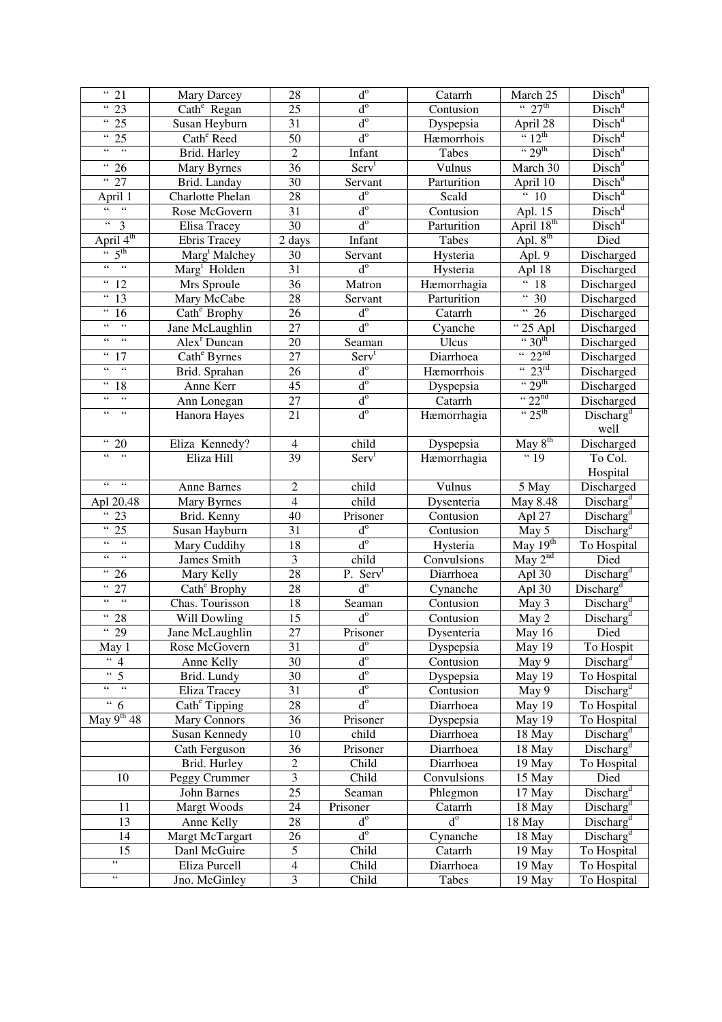| $\overline{31}$                                                | Mary Darcey               | 28                  | $d^{\circ}$          | Catarrh     | March 25                       | Disch <sup>d</sup>                             |
|----------------------------------------------------------------|---------------------------|---------------------|----------------------|-------------|--------------------------------|------------------------------------------------|
| $\overline{3}$                                                 | Cath <sup>e</sup> Regan   | $\overline{25}$     | $d^{\rm o}$          | Contusion   | $\cdot \cdot 27^{\text{th}}$   | Disch <sup>d</sup>                             |
| $\overline{35}$                                                | Susan Heyburn             | $\overline{31}$     | $d^{\circ}$          | Dyspepsia   | April 28                       | Disch <sup>d</sup>                             |
| $\overline{35}$                                                | Cath <sup>e</sup> Reed    | $\overline{50}$     | $d^{\circ}$          | Hæmorrhois  | $\frac{1}{2}$ 12 <sup>th</sup> | Disch <sup>d</sup>                             |
| $66 - 66$                                                      | Brid. Harley              | $\overline{2}$      | Infant               | Tabes       | $\cdot \cdot 29$ <sup>th</sup> | Disch <sup>d</sup>                             |
| $\overline{36}$                                                | Mary Byrnes               | $\overline{36}$     | Serv <sup>t</sup>    | Vulnus      | March 30                       | Disch <sup>d</sup>                             |
| $\frac{1}{27}$                                                 | Brid. Landay              | 30                  | Servant              | Parturition | April 10                       | Disch <sup>d</sup>                             |
| April 1                                                        | Charlotte Phelan          | 28                  | $d^{\circ}$          | Scald       | $\overline{40}$                | Disch <sup>d</sup>                             |
| 66<br>$66 -$                                                   | Rose McGovern             | $\overline{31}$     | $d^{\rm o}$          | Contusion   | Apl. 15                        | Disch <sup>d</sup>                             |
| $\epsilon\,\epsilon$<br>$\overline{3}$                         | <b>Elisa Tracey</b>       | $\overline{30}$     | $d^{\rm o}$          | Parturition | April 18 <sup>th</sup>         | Disch <sup>d</sup>                             |
| April $4^{th}$                                                 | <b>Ebris Tracey</b>       | $\overline{2}$ days | Infant               | Tabes       | Apl. $8^{th}$                  | Died                                           |
| $\overline{5^{th}}$                                            | Marg <sup>t</sup> Malchey | 30                  | Servant              | Hysteria    | Apl. 9                         | Discharged                                     |
| $\epsilon\epsilon$<br>$\overline{\phantom{1}}$                 | Marg <sup>t</sup> Holden  | 31                  | $d^{\rm o}$          | Hysteria    | Apl 18                         | Discharged                                     |
| $\,$ 6 $\,$<br>$\overline{1}2$                                 | Mrs Sproule               | $\overline{36}$     | Matron               | Hæmorrhagia | $\overline{48}$                | Discharged                                     |
| $\epsilon\,\epsilon$<br>13                                     | Mary McCabe               | $\overline{28}$     | Servant              | Parturition | $\overline{30}$                | Discharged                                     |
| $\epsilon$ $\epsilon$<br>16                                    | Cath <sup>e</sup> Brophy  | 26                  | $d^{\rm o}$          | Catarrh     | $\overline{426}$               | Discharged                                     |
| $\overline{\mathfrak{c}\mathfrak{c}}$<br>$\zeta$ $\zeta$       | Jane McLaughlin           | $\overline{27}$     | $d^{\rm o}$          | Cyanche     | $\overline{25}$ Apl            | Discharged                                     |
| $\epsilon\,\epsilon$<br>$\epsilon$ $\epsilon$                  | Alex <sup>r</sup> Duncan  | 20                  | Seaman               | Ulcus       | $\cdot \cdot 30^{th}$          | Discharged                                     |
| $\zeta\,\zeta$<br>17                                           | Cath <sup>e</sup> Byrnes  | 27                  | Serv <sup>t</sup>    | Diarrhoea   | $\frac{1}{22}$ <sup>nd</sup>   | Discharged                                     |
| $\overline{\mathfrak{c}}\mathfrak{c}$<br>$\epsilon$ $\epsilon$ | Brid. Sprahan             | 26                  | $d^{\circ}$          | Hæmorrhois  | $\cdot \cdot 23^{rd}$          | Discharged                                     |
| $\epsilon\,\epsilon$<br>18                                     | Anne Kerr                 | 45                  | $d^{\circ}$          | Dyspepsia   | $\cdot \cdot 29^{\text{th}}$   | Discharged                                     |
| $\overline{\mathfrak{c}\mathfrak{c}}$<br>$\zeta\,\zeta$        | Ann Lonegan               | 27                  | $\mbox{d}^{\rm o}$   | Catarrh     | $\frac{422^{nd}}{325^{th}}$    | Discharged                                     |
| $\epsilon\,\epsilon$<br>$\epsilon$ $\epsilon$                  | Hanora Hayes              | 21                  | $d^{\rm o}$          | Hæmorrhagia |                                | Discharg <sup>d</sup>                          |
|                                                                |                           |                     |                      |             |                                | well                                           |
| $\overline{4}$ 20                                              | Eliza Kennedy?            | $\overline{4}$      | child                | Dyspepsia   | May 8 <sup>th</sup>            | Discharged                                     |
| $66 -$<br>$\overline{66}$                                      | Eliza Hill                | 39                  | Serv <sup>t</sup>    | Hæmorrhagia | " <sup>19</sup>                | To Col.                                        |
|                                                                |                           |                     |                      |             |                                | Hospital                                       |
| $\epsilon$ $\epsilon$<br>$\epsilon$ $\epsilon$                 | Anne Barnes               | $\overline{2}$      | child                | Vulnus      | 5 May                          | Discharged                                     |
| Apl 20.48                                                      | Mary Byrnes               | $\overline{4}$      | child                | Dysenteria  | May 8.48                       | Discharg <sup>d</sup>                          |
| 66<br>23                                                       | Brid. Kenny               | 40                  | Prisoner             | Contusion   | Apl 27                         | Discharg <sup>d</sup>                          |
| $\epsilon\,\epsilon$<br>25                                     | Susan Hayburn             | 31                  | $d^{\circ}$          | Contusion   | May 5                          | $\overline{\text{Discharge}}^d$                |
| $\zeta\,\zeta$<br>$\zeta\,\zeta$                               | Mary Cuddihy              | 18                  | $d^{\rm o}$          | Hysteria    | May $19th$                     | To Hospital                                    |
| $\zeta\,\zeta$<br>$\zeta\,\zeta$                               | James Smith               | 3                   | child                | Convulsions | May 2 <sup>nd</sup>            | Died                                           |
| $\zeta\,\zeta$<br>26                                           | Mary Kelly                | 28                  | P. Serv <sup>t</sup> | Diarrhoea   | Apl 30                         | Discharg <sup>d</sup>                          |
| $\epsilon\,\epsilon$<br>27                                     | Cath <sup>e</sup> Brophy  | 28                  | $d^{\circ}$          | Cynanche    | Apl 30                         | Discharg <sup>d</sup>                          |
| $\epsilon\epsilon$<br>$\zeta\,\zeta$                           | Chas. Tourisson           | 18                  | Seaman               | Contusion   | May 3                          | Discharg <sup>d</sup>                          |
| $\overline{4}$ 28                                              | Will Dowling              | 15                  | $d^{\circ}$          | Contusion   | May <sub>2</sub>               | Discharg <sup>d</sup>                          |
| $\overline{39}$                                                | Jane McLaughlin           | $\overline{27}$     | Prisoner             | Dysenteria  | May $16$                       | Died                                           |
| May 1                                                          | Rose McGovern             | 31                  | $d^{\rm o}$          | Dyspepsia   | May 19                         | To Hospit                                      |
| $\overline{4}$                                                 | Anne Kelly                | 30                  | $d^{\circ}$          | Contusion   | May $9$                        | Discharg <sup>d</sup>                          |
| $\epsilon\,\epsilon$<br>$\overline{5}$                         | Brid. Lundy               | 30                  | $d^{\circ}$          | Dyspepsia   | May 19                         | To Hospital                                    |
| $\epsilon$ $\epsilon$<br>$\epsilon$ $\epsilon$                 | Eliza Tracey              | 31                  | $d^{\circ}$          | Contusion   | May 9                          | Discharg <sup>d</sup>                          |
| $\overline{46}$                                                | Cath <sup>e</sup> Tipping | 28                  | $d^{\circ}$          | Diarrhoea   | May 19                         | To Hospital                                    |
| May $9^{th}$ 48                                                | Mary Connors              | 36                  | Prisoner             | Dyspepsia   | May 19                         | To Hospital                                    |
|                                                                | <b>Susan Kennedy</b>      | 10                  | child                | Diarrhoea   | 18 May                         | Discharg <sup>d</sup><br>Discharg <sup>d</sup> |
|                                                                | Cath Ferguson             | 36                  | Prisoner             | Diarrhoea   | 18 May                         |                                                |
|                                                                | Brid. Hurley              | $\boldsymbol{2}$    | Child                | Diarrhoea   | 19 May                         | To Hospital                                    |
| 10                                                             | Peggy Crummer             | 3                   | Child                | Convulsions | 15 May                         | Died                                           |
|                                                                | John Barnes               | 25                  | Seaman               | Phlegmon    | 17 May                         | Discharg <sup>d</sup>                          |
| 11                                                             | Margt Woods               | 24                  | Prisoner             | Catarrh     | 18 May                         | Discharg <sup>d</sup>                          |
| 13                                                             | Anne Kelly                | 28                  | $d^{\circ}$          | $d^{\circ}$ | 18 May                         | Discharg <sup>d</sup>                          |
| 14                                                             | Margt McTargart           | 26                  | $d^{\circ}$          | Cynanche    | 18 May                         | Discharg <sup>d</sup>                          |
| 15                                                             | Danl McGuire              | 5                   | Child                | Catarrh     | 19 May                         | To Hospital                                    |
| ,,                                                             | Eliza Purcell             | $\overline{4}$      | Child                | Diarrhoea   | 19 May                         | To Hospital                                    |
| $\zeta$ $\zeta$                                                | Jno. McGinley             | 3                   | Child                | Tabes       | 19 May                         | To Hospital                                    |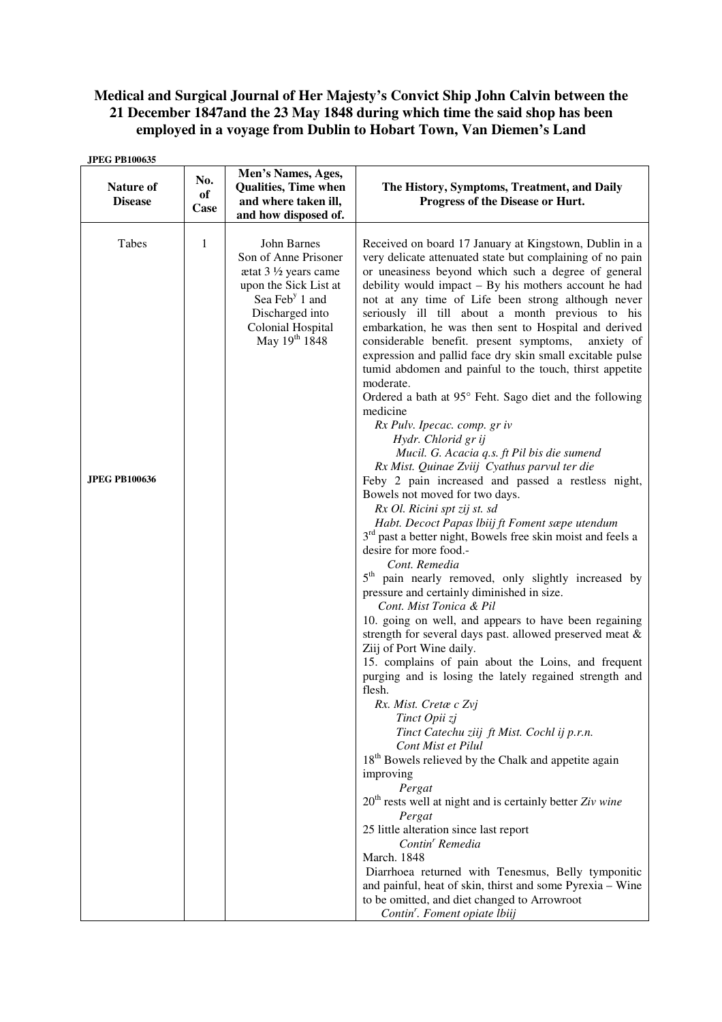# **Medical and Surgical Journal of Her Majesty's Convict Ship John Calvin between the 21 December 1847and the 23 May 1848 during which time the said shop has been employed in a voyage from Dublin to Hobart Town, Van Diemen's Land**

| <b>JPEG PB100635</b>               |                   |                                                                                                                                                                                                        |                                                                                                                                                                                                                                                                                                                                                                                                                                                                                                                                                                                                                                                                                                                                                                                                                                                                                                                                                                                                                                                                                                                   |
|------------------------------------|-------------------|--------------------------------------------------------------------------------------------------------------------------------------------------------------------------------------------------------|-------------------------------------------------------------------------------------------------------------------------------------------------------------------------------------------------------------------------------------------------------------------------------------------------------------------------------------------------------------------------------------------------------------------------------------------------------------------------------------------------------------------------------------------------------------------------------------------------------------------------------------------------------------------------------------------------------------------------------------------------------------------------------------------------------------------------------------------------------------------------------------------------------------------------------------------------------------------------------------------------------------------------------------------------------------------------------------------------------------------|
| <b>Nature of</b><br><b>Disease</b> | No.<br>of<br>Case | Men's Names, Ages,<br><b>Qualities, Time when</b><br>and where taken ill,<br>and how disposed of.                                                                                                      | The History, Symptoms, Treatment, and Daily<br>Progress of the Disease or Hurt.                                                                                                                                                                                                                                                                                                                                                                                                                                                                                                                                                                                                                                                                                                                                                                                                                                                                                                                                                                                                                                   |
| Tabes<br><b>JPEG PB100636</b>      | 1                 | John Barnes<br>Son of Anne Prisoner<br>$\text{atat } 3 \frac{1}{2} \text{ years came}$<br>upon the Sick List at<br>Sea Feb <sup>y</sup> 1 and<br>Discharged into<br>Colonial Hospital<br>May 19th 1848 | Received on board 17 January at Kingstown, Dublin in a<br>very delicate attenuated state but complaining of no pain<br>or uneasiness beyond which such a degree of general<br>debility would impact - By his mothers account he had<br>not at any time of Life been strong although never<br>seriously ill till about a month previous to his<br>embarkation, he was then sent to Hospital and derived<br>considerable benefit. present symptoms,<br>anxiety of<br>expression and pallid face dry skin small excitable pulse<br>tumid abdomen and painful to the touch, thirst appetite<br>moderate.<br>Ordered a bath at 95° Feht. Sago diet and the following<br>medicine<br>Rx Pulv. Ipecac. comp. gr iv<br>Hydr. Chlorid gr ij<br>Mucil. G. Acacia q.s. ft Pil bis die sumend<br>Rx Mist. Quinae Zviij Cyathus parvul ter die<br>Feby 2 pain increased and passed a restless night,<br>Bowels not moved for two days.<br>Rx Ol. Ricini spt zij st. sd<br>Habt. Decoct Papas lbiij ft Foment sæpe utendum<br>3 <sup>rd</sup> past a better night, Bowels free skin moist and feels a<br>desire for more food.- |
|                                    |                   |                                                                                                                                                                                                        | Cont. Remedia<br>$5^{\text{th}}$<br>pain nearly removed, only slightly increased by<br>pressure and certainly diminished in size.<br>Cont. Mist Tonica & Pil<br>10. going on well, and appears to have been regaining<br>strength for several days past. allowed preserved meat &<br>Ziij of Port Wine daily.<br>15. complains of pain about the Loins, and frequent<br>purging and is losing the lately regained strength and<br>flesh.<br>Rx. Mist. Cretæ c Zvj<br>Tinct Opii zj<br>Tinct Catechu ziij ft Mist. Cochl ij p.r.n.<br>Cont Mist et Pilul<br>18 <sup>th</sup> Bowels relieved by the Chalk and appetite again<br>improving<br>Pergat<br>$20th$ rests well at night and is certainly better Ziv wine<br>Pergat<br>25 little alteration since last report<br>Contin <sup>r</sup> Remedia<br><b>March.</b> 1848<br>Diarrhoea returned with Tenesmus, Belly tymponitic<br>and painful, heat of skin, thirst and some Pyrexia - Wine<br>to be omitted, and diet changed to Arrowroot<br>Contin'. Foment opiate Ibiij                                                                                     |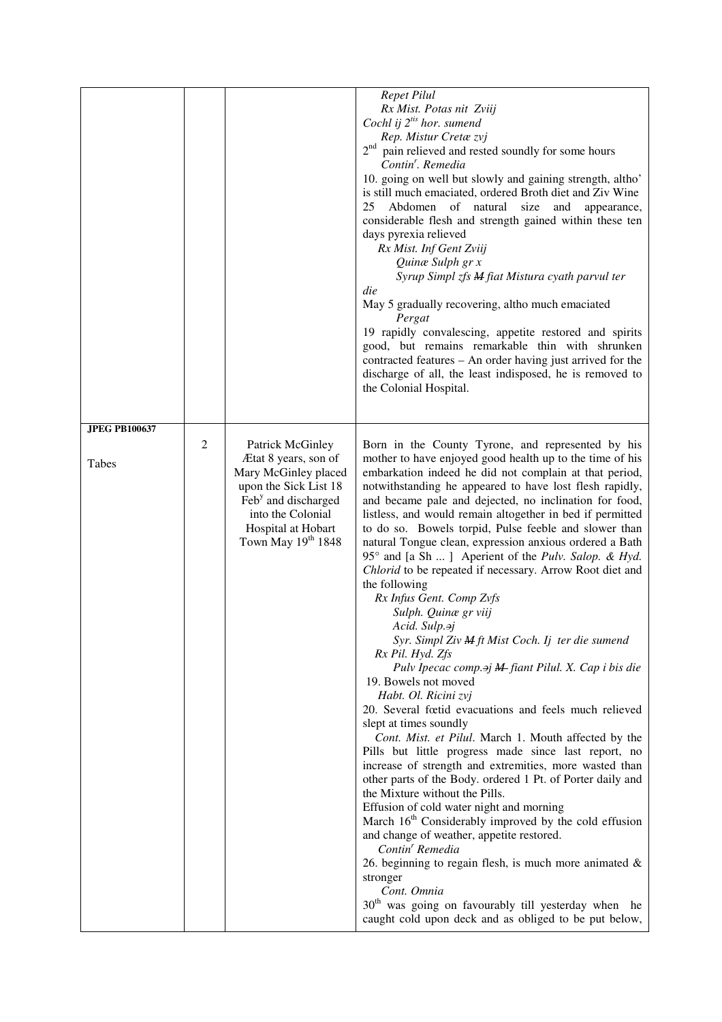|                               |               |                                                                                                                                                                                                      | <b>Repet Pilul</b><br>Rx Mist. Potas nit Zviij<br>Cochl ij $2^{i}$ hor. sumend<br>Rep. Mistur Cretæ zvj<br>2 <sup>nd</sup> pain relieved and rested soundly for some hours<br>Contin'. Remedia<br>10. going on well but slowly and gaining strength, altho'<br>is still much emaciated, ordered Broth diet and Ziv Wine<br>Abdomen<br>of natural<br>25<br>size<br>and<br>appearance,<br>considerable flesh and strength gained within these ten<br>days pyrexia relieved<br>Rx Mist. Inf Gent Zviij<br>Quinæ Sulph gr x<br>Syrup Simpl zfs M fiat Mistura cyath parvul ter<br>die<br>May 5 gradually recovering, altho much emaciated<br>Pergat<br>19 rapidly convalescing, appetite restored and spirits<br>good, but remains remarkable thin with shrunken<br>contracted features - An order having just arrived for the<br>discharge of all, the least indisposed, he is removed to<br>the Colonial Hospital.                                                                                                                                                                                                                                                                                                                                                                                                                                                                                                                                                                                                                                                                                                                                                                      |
|-------------------------------|---------------|------------------------------------------------------------------------------------------------------------------------------------------------------------------------------------------------------|---------------------------------------------------------------------------------------------------------------------------------------------------------------------------------------------------------------------------------------------------------------------------------------------------------------------------------------------------------------------------------------------------------------------------------------------------------------------------------------------------------------------------------------------------------------------------------------------------------------------------------------------------------------------------------------------------------------------------------------------------------------------------------------------------------------------------------------------------------------------------------------------------------------------------------------------------------------------------------------------------------------------------------------------------------------------------------------------------------------------------------------------------------------------------------------------------------------------------------------------------------------------------------------------------------------------------------------------------------------------------------------------------------------------------------------------------------------------------------------------------------------------------------------------------------------------------------------------------------------------------------------------------------------------------------------|
| <b>JPEG PB100637</b><br>Tabes | $\mathfrak 2$ | <b>Patrick McGinley</b><br>Ætat 8 years, son of<br>Mary McGinley placed<br>upon the Sick List 18<br>Feb <sup>y</sup> and discharged<br>into the Colonial<br>Hospital at Hobart<br>Town May 19th 1848 | Born in the County Tyrone, and represented by his<br>mother to have enjoyed good health up to the time of his<br>embarkation indeed he did not complain at that period,<br>notwithstanding he appeared to have lost flesh rapidly,<br>and became pale and dejected, no inclination for food,<br>listless, and would remain altogether in bed if permitted<br>to do so. Bowels torpid, Pulse feeble and slower than<br>natural Tongue clean, expression anxious ordered a Bath<br>95° and [a Sh ] Aperient of the Pulv. Salop. & Hyd.<br>Chlorid to be repeated if necessary. Arrow Root diet and<br>the following<br>Rx Infus Gent. Comp Zvfs<br>Sulph. Quinæ gr viij<br>Acid. Sulp. <sup>2</sup> j<br>Syr. Simpl Ziv M ft Mist Coch. Ij ter die sumend<br>Rx Pil. Hyd. Zfs<br>Pulv Ipecac comp. <sup>2</sup> j <b>M</b> -fiant Pilul. X. Cap i bis die<br>19. Bowels not moved<br>Habt. Ol. Ricini zvj<br>20. Several fœtid evacuations and feels much relieved<br>slept at times soundly<br>Cont. Mist. et Pilul. March 1. Mouth affected by the<br>Pills but little progress made since last report, no<br>increase of strength and extremities, more wasted than<br>other parts of the Body. ordered 1 Pt. of Porter daily and<br>the Mixture without the Pills.<br>Effusion of cold water night and morning<br>March 16 <sup>th</sup> Considerably improved by the cold effusion<br>and change of weather, appetite restored.<br>Contin <sup>'</sup> Remedia<br>26. beginning to regain flesh, is much more animated $\&$<br>stronger<br>Cont. Omnia<br>30 <sup>th</sup> was going on favourably till yesterday when he<br>caught cold upon deck and as obliged to be put below, |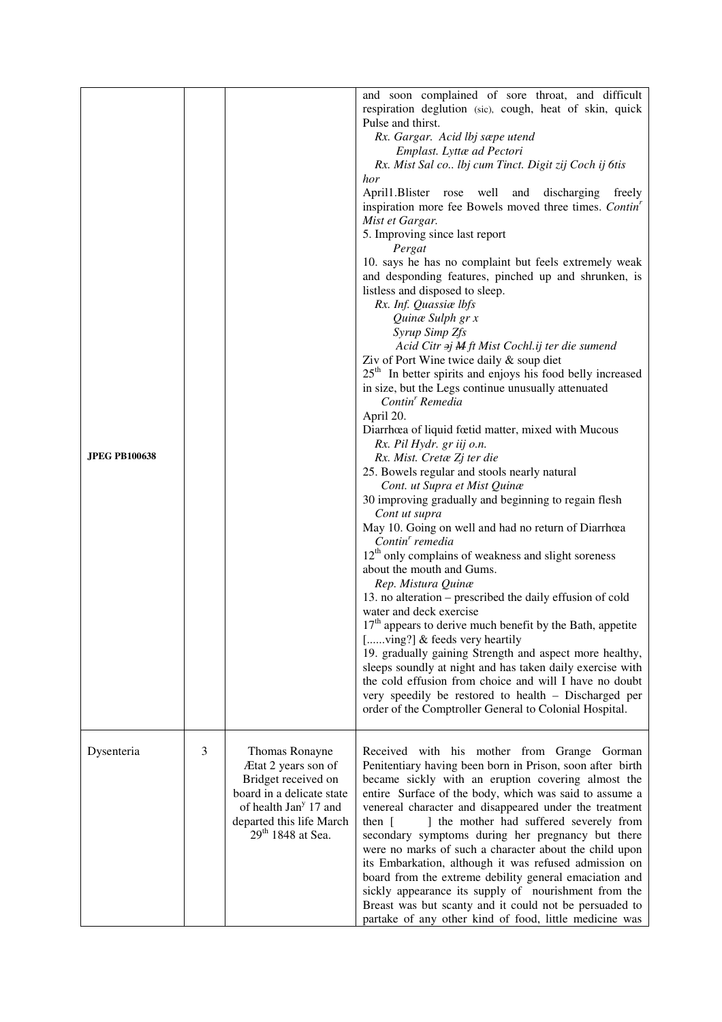|                |                                                                                                                                                                                             | and soon complained of sore throat, and difficult<br>respiration deglution (sic), cough, heat of skin, quick<br>Pulse and thirst.<br>Rx. Gargar. Acid lbj sæpe utend<br>Emplast. Lyttæ ad Pectori<br>Rx. Mist Sal co Ibj cum Tinct. Digit zij Coch ij 6tis<br>hor<br>April1.Blister rose well<br>and discharging<br>freely<br>inspiration more fee Bowels moved three times. Contin <sup>'</sup><br>Mist et Gargar.<br>5. Improving since last report<br>Pergat<br>10. says he has no complaint but feels extremely weak<br>and desponding features, pinched up and shrunken, is<br>listless and disposed to sleep.<br>Rx. Inf. Quassiae lbfs<br>Quinæ Sulph gr x<br>Syrup Simp Zfs<br>Acid Citr $\partial j$ M ft Mist Cochl.ij ter die sumend<br>Ziv of Port Wine twice daily & soup diet<br>$25th$ In better spirits and enjoys his food belly increased<br>in size, but the Legs continue unusually attenuated<br>Contin <sup>'</sup> Remedia<br>April 20.<br>Diarrhœa of liquid fœtid matter, mixed with Mucous<br>Rx. Pil Hydr. gr iij o.n.<br>Rx. Mist. Cretæ Zj ter die<br>25. Bowels regular and stools nearly natural<br>Cont. ut Supra et Mist Quinæ<br>30 improving gradually and beginning to regain flesh<br>Cont ut supra<br>May 10. Going on well and had no return of Diarrhœa<br>Contin' remedia<br>$12th$ only complains of weakness and slight soreness<br>about the mouth and Gums.<br>Rep. Mistura Quinæ<br>13. no alteration – prescribed the daily effusion of cold<br>water and deck exercise<br>17 <sup>th</sup> appears to derive much benefit by the Bath, appetite<br>[ving?] & feeds very heartily<br>19. gradually gaining Strength and aspect more healthy,<br>sleeps soundly at night and has taken daily exercise with<br>the cold effusion from choice and will I have no doubt<br>very speedily be restored to health - Discharged per<br>order of the Comptroller General to Colonial Hospital. |
|----------------|---------------------------------------------------------------------------------------------------------------------------------------------------------------------------------------------|--------------------------------------------------------------------------------------------------------------------------------------------------------------------------------------------------------------------------------------------------------------------------------------------------------------------------------------------------------------------------------------------------------------------------------------------------------------------------------------------------------------------------------------------------------------------------------------------------------------------------------------------------------------------------------------------------------------------------------------------------------------------------------------------------------------------------------------------------------------------------------------------------------------------------------------------------------------------------------------------------------------------------------------------------------------------------------------------------------------------------------------------------------------------------------------------------------------------------------------------------------------------------------------------------------------------------------------------------------------------------------------------------------------------------------------------------------------------------------------------------------------------------------------------------------------------------------------------------------------------------------------------------------------------------------------------------------------------------------------------------------------------------------------------------------------------------------------------------------------------------------------------------------------------------------------|
| $\mathfrak{Z}$ | Thomas Ronayne<br>Ætat 2 years son of<br>Bridget received on<br>board in a delicate state<br>of health Jan <sup>y</sup> 17 and<br>departed this life March<br>29 <sup>th</sup> 1848 at Sea. | Received with his mother from Grange Gorman<br>Penitentiary having been born in Prison, soon after birth<br>became sickly with an eruption covering almost the<br>entire Surface of the body, which was said to assume a<br>venereal character and disappeared under the treatment<br>] the mother had suffered severely from<br>then $\lceil$<br>secondary symptoms during her pregnancy but there<br>were no marks of such a character about the child upon<br>its Embarkation, although it was refused admission on<br>board from the extreme debility general emaciation and<br>sickly appearance its supply of nourishment from the                                                                                                                                                                                                                                                                                                                                                                                                                                                                                                                                                                                                                                                                                                                                                                                                                                                                                                                                                                                                                                                                                                                                                                                                                                                                                             |
|                |                                                                                                                                                                                             |                                                                                                                                                                                                                                                                                                                                                                                                                                                                                                                                                                                                                                                                                                                                                                                                                                                                                                                                                                                                                                                                                                                                                                                                                                                                                                                                                                                                                                                                                                                                                                                                                                                                                                                                                                                                                                                                                                                                      |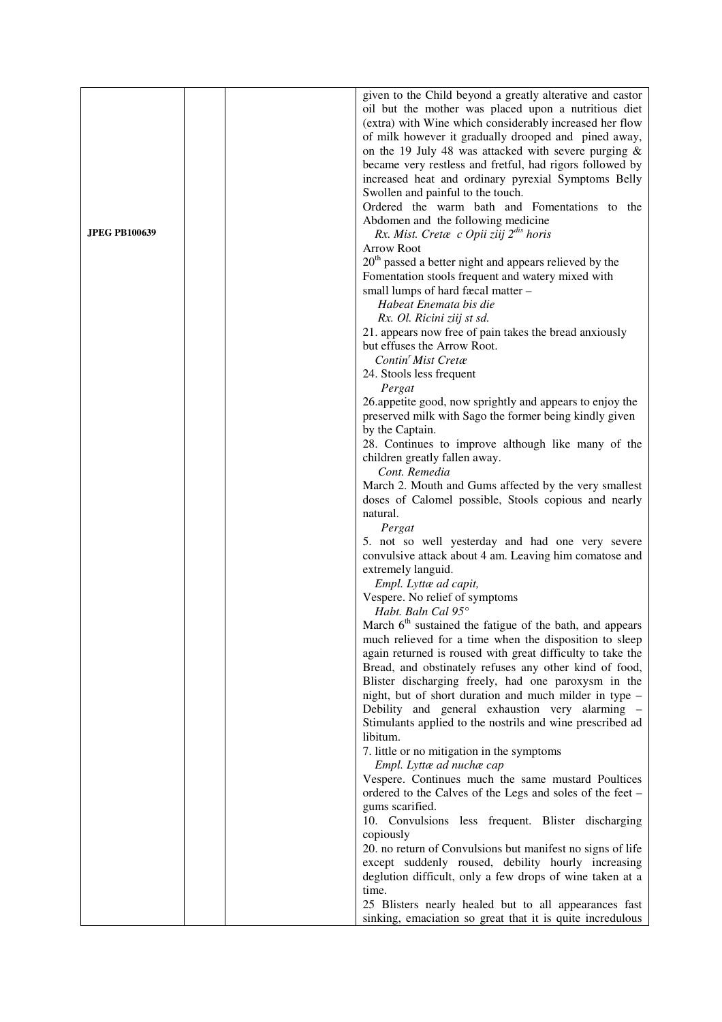|                      | given to the Child beyond a greatly alterative and castor            |
|----------------------|----------------------------------------------------------------------|
|                      | oil but the mother was placed upon a nutritious diet                 |
|                      | (extra) with Wine which considerably increased her flow              |
|                      | of milk however it gradually drooped and pined away,                 |
|                      | on the 19 July 48 was attacked with severe purging $\&$              |
|                      | became very restless and fretful, had rigors followed by             |
|                      | increased heat and ordinary pyrexial Symptoms Belly                  |
|                      |                                                                      |
|                      | Swollen and painful to the touch.                                    |
|                      | Ordered the warm bath and Fomentations to the                        |
|                      | Abdomen and the following medicine                                   |
| <b>JPEG PB100639</b> | Rx. Mist. Cretæ c Opii ziij 2 <sup>dis</sup> horis                   |
|                      | <b>Arrow Root</b>                                                    |
|                      | 20 <sup>th</sup> passed a better night and appears relieved by the   |
|                      | Fomentation stools frequent and watery mixed with                    |
|                      | small lumps of hard fæcal matter -                                   |
|                      | Habeat Enemata bis die                                               |
|                      | Rx. Ol. Ricini ziij st sd.                                           |
|                      | 21. appears now free of pain takes the bread anxiously               |
|                      | but effuses the Arrow Root.                                          |
|                      | Contin' Mist Cretæ                                                   |
|                      | 24. Stools less frequent                                             |
|                      | Pergat                                                               |
|                      | 26.appetite good, now sprightly and appears to enjoy the             |
|                      | preserved milk with Sago the former being kindly given               |
|                      | by the Captain.                                                      |
|                      |                                                                      |
|                      | 28. Continues to improve although like many of the                   |
|                      | children greatly fallen away.                                        |
|                      | Cont. Remedia                                                        |
|                      | March 2. Mouth and Gums affected by the very smallest                |
|                      | doses of Calomel possible, Stools copious and nearly                 |
|                      | natural.                                                             |
|                      | Pergat                                                               |
|                      | 5. not so well yesterday and had one very severe                     |
|                      | convulsive attack about 4 am. Leaving him comatose and               |
|                      | extremely languid.                                                   |
|                      | Empl. Lyttæ ad capit,                                                |
|                      | Vespere. No relief of symptoms                                       |
|                      | Habt. Baln Cal 95°                                                   |
|                      | March 6 <sup>th</sup> sustained the fatigue of the bath, and appears |
|                      | much relieved for a time when the disposition to sleep               |
|                      | again returned is roused with great difficulty to take the           |
|                      | Bread, and obstinately refuses any other kind of food,               |
|                      | Blister discharging freely, had one paroxysm in the                  |
|                      | night, but of short duration and much milder in type –               |
|                      | Debility and general exhaustion very alarming -                      |
|                      | Stimulants applied to the nostrils and wine prescribed ad            |
|                      | libitum.                                                             |
|                      |                                                                      |
|                      | 7. little or no mitigation in the symptoms                           |
|                      | Empl. Lyttæ ad nuchæ cap                                             |
|                      | Vespere. Continues much the same mustard Poultices                   |
|                      | ordered to the Calves of the Legs and soles of the feet -            |
|                      | gums scarified.                                                      |
|                      | 10. Convulsions less frequent. Blister discharging                   |
|                      | copiously                                                            |
|                      | 20. no return of Convulsions but manifest no signs of life           |
|                      | except suddenly roused, debility hourly increasing                   |
|                      | deglution difficult, only a few drops of wine taken at a             |
|                      | time.                                                                |
|                      | 25 Blisters nearly healed but to all appearances fast                |
|                      | sinking, emaciation so great that it is quite incredulous            |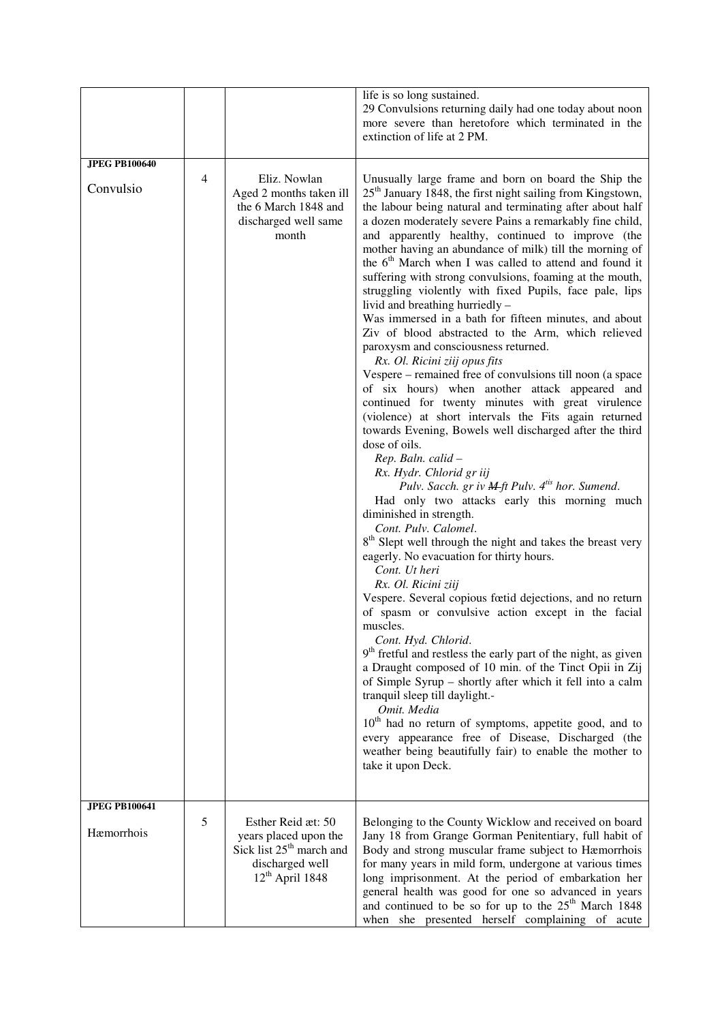|                                    |   |                                                                                                                             | life is so long sustained.<br>29 Convulsions returning daily had one today about noon<br>more severe than heretofore which terminated in the<br>extinction of life at 2 PM.                                                                                                                                                                                                                                                                                                                                                                                                                                                                                                                                                                                                                                                                                                                                                                                                                                                                                                                                                                                                                                                                                                                                                                                                                                                                                                                                                                                                                                                                                                                                                                                                                                                                                                                                                                                                                                                                                                                          |
|------------------------------------|---|-----------------------------------------------------------------------------------------------------------------------------|------------------------------------------------------------------------------------------------------------------------------------------------------------------------------------------------------------------------------------------------------------------------------------------------------------------------------------------------------------------------------------------------------------------------------------------------------------------------------------------------------------------------------------------------------------------------------------------------------------------------------------------------------------------------------------------------------------------------------------------------------------------------------------------------------------------------------------------------------------------------------------------------------------------------------------------------------------------------------------------------------------------------------------------------------------------------------------------------------------------------------------------------------------------------------------------------------------------------------------------------------------------------------------------------------------------------------------------------------------------------------------------------------------------------------------------------------------------------------------------------------------------------------------------------------------------------------------------------------------------------------------------------------------------------------------------------------------------------------------------------------------------------------------------------------------------------------------------------------------------------------------------------------------------------------------------------------------------------------------------------------------------------------------------------------------------------------------------------------|
| <b>JPEG PB100640</b><br>Convulsio  | 4 | Eliz. Nowlan<br>Aged 2 months taken ill<br>the 6 March 1848 and<br>discharged well same<br>month                            | Unusually large frame and born on board the Ship the<br>25 <sup>th</sup> January 1848, the first night sailing from Kingstown,<br>the labour being natural and terminating after about half<br>a dozen moderately severe Pains a remarkably fine child,<br>and apparently healthy, continued to improve (the<br>mother having an abundance of milk) till the morning of<br>the 6 <sup>th</sup> March when I was called to attend and found it<br>suffering with strong convulsions, foaming at the mouth,<br>struggling violently with fixed Pupils, face pale, lips<br>livid and breathing hurriedly -<br>Was immersed in a bath for fifteen minutes, and about<br>Ziv of blood abstracted to the Arm, which relieved<br>paroxysm and consciousness returned.<br>Rx. Ol. Ricini ziij opus fits<br>Vespere – remained free of convulsions till noon (a space<br>of six hours) when another attack appeared and<br>continued for twenty minutes with great virulence<br>(violence) at short intervals the Fits again returned<br>towards Evening, Bowels well discharged after the third<br>dose of oils.<br>Rep. Baln. calid -<br>Rx. Hydr. Chlorid gr iij<br>Pulv. Sacch. gr iv <i>M</i> -ft Pulv. 4 <sup>tis</sup> hor. Sumend.<br>Had only two attacks early this morning much<br>diminished in strength.<br>Cont. Pulv. Calomel.<br>8 <sup>th</sup> Slept well through the night and takes the breast very<br>eagerly. No evacuation for thirty hours.<br>Cont. Ut heri<br>Rx. Ol. Ricini ziij<br>Vespere. Several copious fœtid dejections, and no return<br>of spasm or convulsive action except in the facial<br>muscles.<br>Cont. Hyd. Chlorid.<br>$9th$ fretful and restless the early part of the night, as given<br>a Draught composed of 10 min. of the Tinct Opii in Zij<br>of Simple Syrup - shortly after which it fell into a calm<br>tranquil sleep till daylight.-<br>Omit. Media<br>$10th$ had no return of symptoms, appetite good, and to<br>every appearance free of Disease, Discharged (the<br>weather being beautifully fair) to enable the mother to<br>take it upon Deck. |
| <b>JPEG PB100641</b><br>Hæmorrhois | 5 | Esther Reid æt: 50<br>years placed upon the<br>Sick list 25 <sup>th</sup> march and<br>discharged well<br>$12th$ April 1848 | Belonging to the County Wicklow and received on board<br>Jany 18 from Grange Gorman Penitentiary, full habit of<br>Body and strong muscular frame subject to Hæmorrhois<br>for many years in mild form, undergone at various times<br>long imprisonment. At the period of embarkation her<br>general health was good for one so advanced in years<br>and continued to be so for up to the 25 <sup>th</sup> March 1848<br>when she presented herself complaining of acute                                                                                                                                                                                                                                                                                                                                                                                                                                                                                                                                                                                                                                                                                                                                                                                                                                                                                                                                                                                                                                                                                                                                                                                                                                                                                                                                                                                                                                                                                                                                                                                                                             |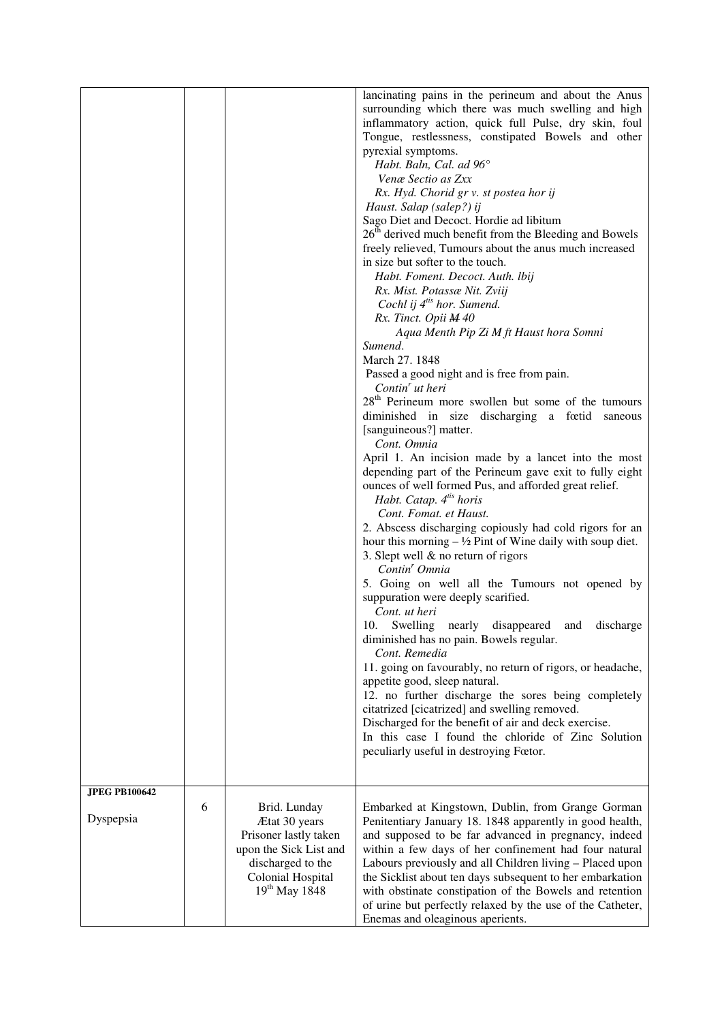|                                   |   |                                                                                                                                                  | lancinating pains in the perineum and about the Anus<br>surrounding which there was much swelling and high<br>inflammatory action, quick full Pulse, dry skin, foul<br>Tongue, restlessness, constipated Bowels and other<br>pyrexial symptoms.<br>Habt. Baln, Cal. ad 96°<br>Venæ Sectio as Zxx<br>Rx. Hyd. Chorid gr v. st postea hor ij<br>Haust. Salap (salep?) ij<br>Sago Diet and Decoct. Hordie ad libitum<br>26 <sup>th</sup> derived much benefit from the Bleeding and Bowels<br>freely relieved, Tumours about the anus much increased<br>in size but softer to the touch.<br>Habt. Foment. Decoct. Auth. lbij<br>Rx. Mist. Potassæ Nit. Zviij<br>Cochl ij 4 <sup>tis</sup> hor. Sumend.<br>Rx. Tinct. Opii M 40<br>Aqua Menth Pip Zi M ft Haust hora Somni<br>Sumend.<br>March 27, 1848<br>Passed a good night and is free from pain.<br>Contin <sup>'</sup> ut heri<br>28 <sup>th</sup> Perineum more swollen but some of the tumours<br>diminished in size discharging a fœtid saneous<br>[sanguineous?] matter.<br>Cont. Omnia<br>April 1. An incision made by a lancet into the most<br>depending part of the Perineum gave exit to fully eight<br>ounces of well formed Pus, and afforded great relief.<br>Habt. Catap. 4 <sup>tis</sup> horis<br>Cont. Fomat. et Haust.<br>2. Abscess discharging copiously had cold rigors for an<br>hour this morning $-\frac{1}{2}$ Pint of Wine daily with soup diet.<br>3. Slept well & no return of rigors<br>Contin <sup>'</sup> Omnia<br>5. Going on well all the Tumours not opened by<br>suppuration were deeply scarified.<br>Cont. ut heri<br>10. Swelling nearly disappeared and discharge |
|-----------------------------------|---|--------------------------------------------------------------------------------------------------------------------------------------------------|-----------------------------------------------------------------------------------------------------------------------------------------------------------------------------------------------------------------------------------------------------------------------------------------------------------------------------------------------------------------------------------------------------------------------------------------------------------------------------------------------------------------------------------------------------------------------------------------------------------------------------------------------------------------------------------------------------------------------------------------------------------------------------------------------------------------------------------------------------------------------------------------------------------------------------------------------------------------------------------------------------------------------------------------------------------------------------------------------------------------------------------------------------------------------------------------------------------------------------------------------------------------------------------------------------------------------------------------------------------------------------------------------------------------------------------------------------------------------------------------------------------------------------------------------------------------------------------------------------------------------------------------------------------|
|                                   |   |                                                                                                                                                  | diminished has no pain. Bowels regular.<br>Cont. Remedia<br>11. going on favourably, no return of rigors, or headache,<br>appetite good, sleep natural.<br>12. no further discharge the sores being completely                                                                                                                                                                                                                                                                                                                                                                                                                                                                                                                                                                                                                                                                                                                                                                                                                                                                                                                                                                                                                                                                                                                                                                                                                                                                                                                                                                                                                                            |
|                                   |   |                                                                                                                                                  | citatrized [cicatrized] and swelling removed.<br>Discharged for the benefit of air and deck exercise.<br>In this case I found the chloride of Zinc Solution<br>peculiarly useful in destroying Fœtor.                                                                                                                                                                                                                                                                                                                                                                                                                                                                                                                                                                                                                                                                                                                                                                                                                                                                                                                                                                                                                                                                                                                                                                                                                                                                                                                                                                                                                                                     |
| <b>JPEG PB100642</b><br>Dyspepsia | 6 | Brid. Lunday<br>Ætat 30 years<br>Prisoner lastly taken<br>upon the Sick List and<br>discharged to the<br>Colonial Hospital<br>$19^{th}$ May 1848 | Embarked at Kingstown, Dublin, from Grange Gorman<br>Penitentiary January 18. 1848 apparently in good health,<br>and supposed to be far advanced in pregnancy, indeed<br>within a few days of her confinement had four natural<br>Labours previously and all Children living - Placed upon<br>the Sicklist about ten days subsequent to her embarkation<br>with obstinate constipation of the Bowels and retention<br>of urine but perfectly relaxed by the use of the Catheter,<br>Enemas and oleaginous aperients.                                                                                                                                                                                                                                                                                                                                                                                                                                                                                                                                                                                                                                                                                                                                                                                                                                                                                                                                                                                                                                                                                                                                      |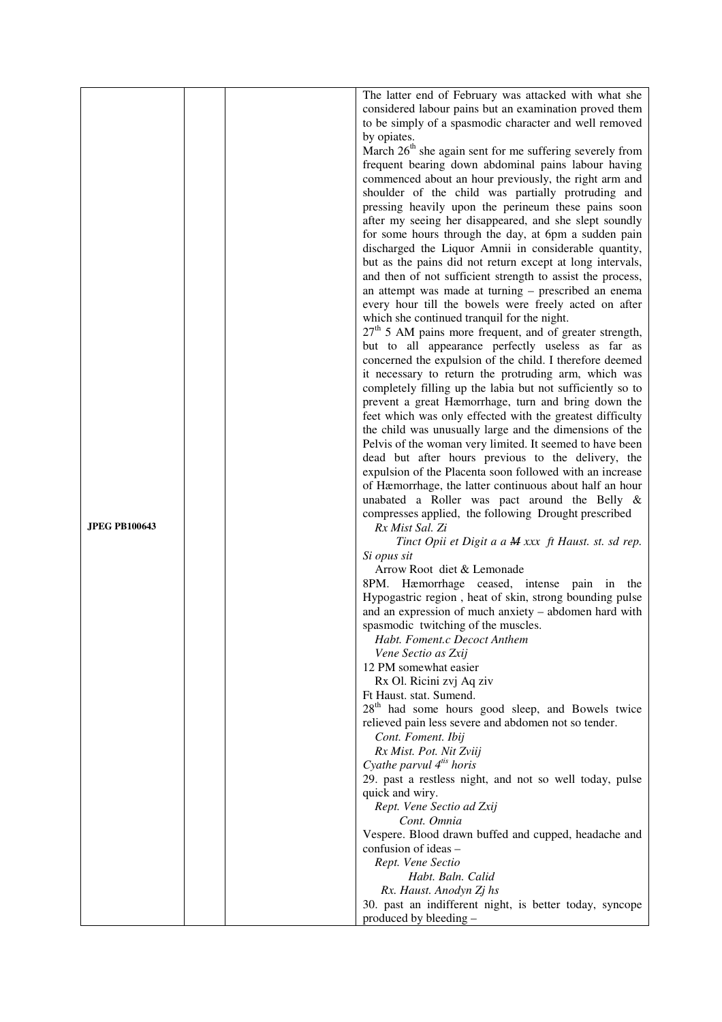|                      |  | The latter end of February was attacked with what she                   |
|----------------------|--|-------------------------------------------------------------------------|
|                      |  | considered labour pains but an examination proved them                  |
|                      |  | to be simply of a spasmodic character and well removed                  |
|                      |  | by opiates.                                                             |
|                      |  | March 26 <sup>th</sup> she again sent for me suffering severely from    |
|                      |  | frequent bearing down abdominal pains labour having                     |
|                      |  | commenced about an hour previously, the right arm and                   |
|                      |  | shoulder of the child was partially protruding and                      |
|                      |  | pressing heavily upon the perineum these pains soon                     |
|                      |  | after my seeing her disappeared, and she slept soundly                  |
|                      |  | for some hours through the day, at 6pm a sudden pain                    |
|                      |  | discharged the Liquor Amnii in considerable quantity,                   |
|                      |  | but as the pains did not return except at long intervals,               |
|                      |  | and then of not sufficient strength to assist the process,              |
|                      |  | an attempt was made at turning – prescribed an enema                    |
|                      |  | every hour till the bowels were freely acted on after                   |
|                      |  | which she continued tranquil for the night.                             |
|                      |  | $27th$ 5 AM pains more frequent, and of greater strength,               |
|                      |  |                                                                         |
|                      |  | but to all appearance perfectly useless as far as                       |
|                      |  | concerned the expulsion of the child. I therefore deemed                |
|                      |  | it necessary to return the protruding arm, which was                    |
|                      |  | completely filling up the labia but not sufficiently so to              |
|                      |  | prevent a great Hæmorrhage, turn and bring down the                     |
|                      |  | feet which was only effected with the greatest difficulty               |
|                      |  | the child was unusually large and the dimensions of the                 |
|                      |  | Pelvis of the woman very limited. It seemed to have been                |
|                      |  | dead but after hours previous to the delivery, the                      |
|                      |  | expulsion of the Placenta soon followed with an increase                |
|                      |  | of Hæmorrhage, the latter continuous about half an hour                 |
|                      |  | unabated a Roller was pact around the Belly &                           |
| <b>JPEG PB100643</b> |  | compresses applied, the following Drought prescribed<br>Rx Mist Sal. Zi |
|                      |  | Tinct Opii et Digit a a M xxx ft Haust. st. sd rep.                     |
|                      |  | Si opus sit                                                             |
|                      |  | Arrow Root diet & Lemonade                                              |
|                      |  | 8PM. Hæmorrhage ceased, intense pain in the                             |
|                      |  | Hypogastric region, heat of skin, strong bounding pulse                 |
|                      |  | and an expression of much anxiety – abdomen hard with                   |
|                      |  | spasmodic twitching of the muscles.                                     |
|                      |  | Habt. Foment.c Decoct Anthem                                            |
|                      |  | Vene Sectio as Zxij                                                     |
|                      |  | 12 PM somewhat easier                                                   |
|                      |  | Rx Ol. Ricini zvj Aq ziv                                                |
|                      |  | Ft Haust. stat. Sumend.                                                 |
|                      |  | 28 <sup>th</sup> had some hours good sleep, and Bowels twice            |
|                      |  | relieved pain less severe and abdomen not so tender.                    |
|                      |  | Cont. Foment. Ibij                                                      |
|                      |  | Rx Mist. Pot. Nit Zviij                                                 |
|                      |  | Cyathe parvul $4^{t}$ horis                                             |
|                      |  | 29. past a restless night, and not so well today, pulse                 |
|                      |  | quick and wiry.                                                         |
|                      |  | Rept. Vene Sectio ad Zxij                                               |
|                      |  | Cont. Omnia                                                             |
|                      |  | Vespere. Blood drawn buffed and cupped, headache and                    |
|                      |  | confusion of ideas –                                                    |
|                      |  | Rept. Vene Sectio                                                       |
|                      |  | Habt. Baln. Calid                                                       |
|                      |  | Rx. Haust. Anodyn Zj hs                                                 |
|                      |  | 30. past an indifferent night, is better today, syncope                 |
|                      |  | produced by bleeding -                                                  |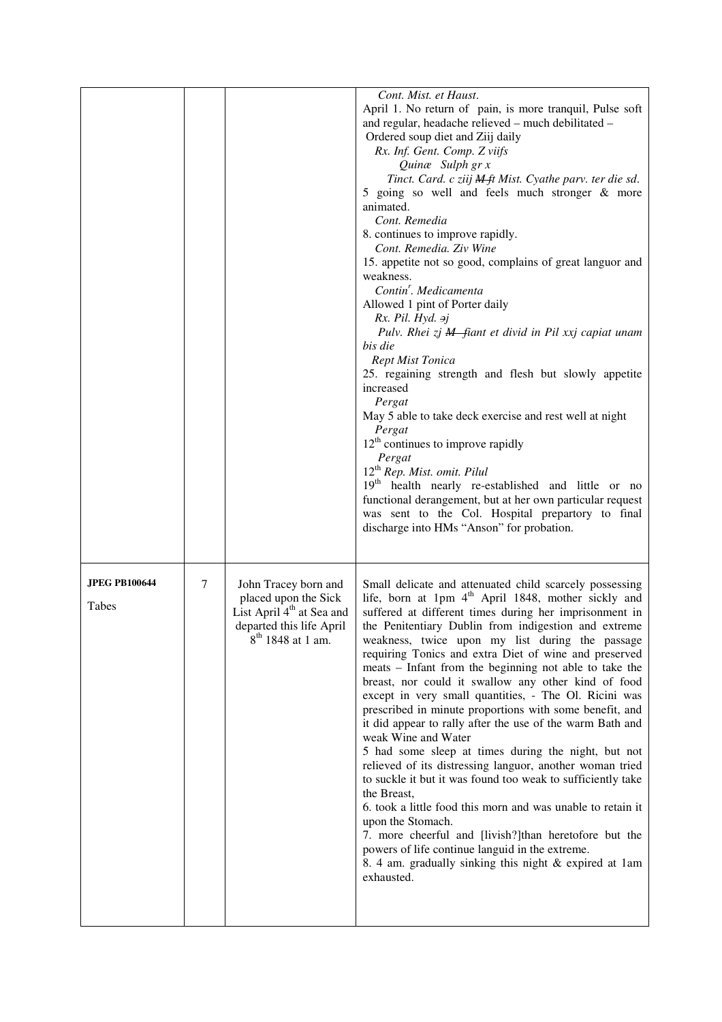|                      |   |                                       | Cont. Mist. et Haust.<br>April 1. No return of pain, is more tranquil, Pulse soft                               |
|----------------------|---|---------------------------------------|-----------------------------------------------------------------------------------------------------------------|
|                      |   |                                       | and regular, headache relieved - much debilitated -                                                             |
|                      |   |                                       | Ordered soup diet and Ziij daily                                                                                |
|                      |   |                                       | Rx. Inf. Gent. Comp. Z viifs                                                                                    |
|                      |   |                                       | Quinæ Sulph gr x<br>Tinct. Card. c ziij <b>M</b> ft Mist. Cyathe parv. ter die sd.                              |
|                      |   |                                       | 5 going so well and feels much stronger & more                                                                  |
|                      |   |                                       | animated.                                                                                                       |
|                      |   |                                       | Cont. Remedia                                                                                                   |
|                      |   |                                       | 8. continues to improve rapidly.                                                                                |
|                      |   |                                       | Cont. Remedia. Ziv Wine                                                                                         |
|                      |   |                                       | 15. appetite not so good, complains of great languor and<br>weakness.                                           |
|                      |   |                                       | Contin <sup>'</sup> . Medicamenta                                                                               |
|                      |   |                                       | Allowed 1 pint of Porter daily                                                                                  |
|                      |   |                                       | $Rx.$ Pil. Hyd. $\rightarrow j$                                                                                 |
|                      |   |                                       | Pulv. Rhei zj M fiant et divid in Pil xxj capiat unam                                                           |
|                      |   |                                       | bis die<br><b>Rept Mist Tonica</b>                                                                              |
|                      |   |                                       | 25. regaining strength and flesh but slowly appetite                                                            |
|                      |   |                                       | increased                                                                                                       |
|                      |   |                                       | Pergat                                                                                                          |
|                      |   |                                       | May 5 able to take deck exercise and rest well at night                                                         |
|                      |   |                                       | Pergat<br>$12th$ continues to improve rapidly                                                                   |
|                      |   |                                       | Pergat                                                                                                          |
|                      |   |                                       | 12 <sup>th</sup> Rep. Mist. omit. Pilul                                                                         |
|                      |   |                                       | 19 <sup>th</sup> health nearly re-established and little or no                                                  |
|                      |   |                                       | functional derangement, but at her own particular request                                                       |
|                      |   |                                       | was sent to the Col. Hospital prepartory to final<br>discharge into HMs "Anson" for probation.                  |
|                      |   |                                       |                                                                                                                 |
|                      |   |                                       |                                                                                                                 |
| <b>JPEG PB100644</b> | 7 | John Tracey born and                  | Small delicate and attenuated child scarcely possessing                                                         |
|                      |   | placed upon the Sick                  | life, born at 1pm 4 <sup>th</sup> April 1848, mother sickly and                                                 |
| Tabes                |   | List April 4 <sup>th</sup> at Sea and | suffered at different times during her imprisonment in                                                          |
|                      |   | departed this life April              | the Penitentiary Dublin from indigestion and extreme                                                            |
|                      |   | 8 <sup>th</sup> 1848 at 1 am.         | weakness, twice upon my list during the passage                                                                 |
|                      |   |                                       | requiring Tonics and extra Diet of wine and preserved<br>meats – Infant from the beginning not able to take the |
|                      |   |                                       | breast, nor could it swallow any other kind of food                                                             |
|                      |   |                                       | except in very small quantities, - The Ol. Ricini was                                                           |
|                      |   |                                       | prescribed in minute proportions with some benefit, and                                                         |
|                      |   |                                       | it did appear to rally after the use of the warm Bath and                                                       |
|                      |   |                                       | weak Wine and Water<br>5 had some sleep at times during the night, but not                                      |
|                      |   |                                       | relieved of its distressing languor, another woman tried                                                        |
|                      |   |                                       | to suckle it but it was found too weak to sufficiently take                                                     |
|                      |   |                                       | the Breast,                                                                                                     |
|                      |   |                                       | 6. took a little food this morn and was unable to retain it                                                     |
|                      |   |                                       | upon the Stomach.<br>7. more cheerful and [livish?]than heretofore but the                                      |
|                      |   |                                       | powers of life continue languid in the extreme.                                                                 |
|                      |   |                                       | 8. 4 am. gradually sinking this night & expired at 1am                                                          |
|                      |   |                                       |                                                                                                                 |
|                      |   |                                       | exhausted.                                                                                                      |
|                      |   |                                       |                                                                                                                 |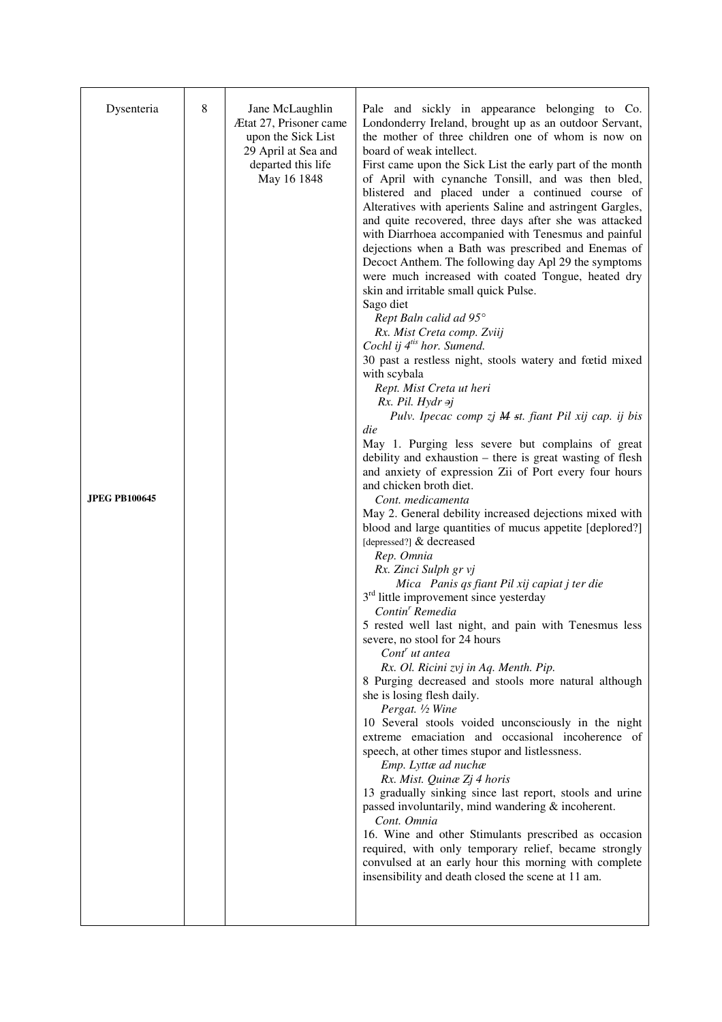| Dysenteria           | 8 | Jane McLaughlin<br>Ætat 27, Prisoner came<br>upon the Sick List<br>29 April at Sea and<br>departed this life<br>May 16 1848 | Pale and sickly in appearance belonging to Co.<br>Londonderry Ireland, brought up as an outdoor Servant,<br>the mother of three children one of whom is now on<br>board of weak intellect.<br>First came upon the Sick List the early part of the month<br>of April with cynanche Tonsill, and was then bled,<br>blistered and placed under a continued course of<br>Alteratives with aperients Saline and astringent Gargles,<br>and quite recovered, three days after she was attacked<br>with Diarrhoea accompanied with Tenesmus and painful<br>dejections when a Bath was prescribed and Enemas of<br>Decoct Anthem. The following day Apl 29 the symptoms<br>were much increased with coated Tongue, heated dry<br>skin and irritable small quick Pulse.<br>Sago diet<br>Rept Baln calid ad 95°<br>Rx. Mist Creta comp. Zviij<br>Cochl ij 4 <sup>tis</sup> hor. Sumend.<br>30 past a restless night, stools watery and fœtid mixed<br>with scybala<br>Rept. Mist Creta ut heri<br>$Rx.$ Pil. Hydr $\rightarrow j$<br>Pulv. Ipecac comp zj M st. fiant Pil xij cap. ij bis<br>die                   |
|----------------------|---|-----------------------------------------------------------------------------------------------------------------------------|----------------------------------------------------------------------------------------------------------------------------------------------------------------------------------------------------------------------------------------------------------------------------------------------------------------------------------------------------------------------------------------------------------------------------------------------------------------------------------------------------------------------------------------------------------------------------------------------------------------------------------------------------------------------------------------------------------------------------------------------------------------------------------------------------------------------------------------------------------------------------------------------------------------------------------------------------------------------------------------------------------------------------------------------------------------------------------------------------------|
| <b>JPEG PB100645</b> |   |                                                                                                                             | May 1. Purging less severe but complains of great<br>debility and exhaustion - there is great wasting of flesh<br>and anxiety of expression Zii of Port every four hours<br>and chicken broth diet.<br>Cont. medicamenta<br>May 2. General debility increased dejections mixed with                                                                                                                                                                                                                                                                                                                                                                                                                                                                                                                                                                                                                                                                                                                                                                                                                      |
|                      |   |                                                                                                                             | blood and large quantities of mucus appetite [deplored?]<br>[depressed?] & decreased<br>Rep. Omnia<br>Rx. Zinci Sulph gr vj<br>Mica Panis qs fiant Pil xij capiat j ter die<br>$3rd$ little improvement since yesterday<br>Contin <sup>r</sup> Remedia<br>5 rested well last night, and pain with Tenesmus less<br>severe, no stool for 24 hours<br>Cont ut antea<br>Rx. Ol. Ricini zvj in Aq. Menth. Pip.<br>8 Purging decreased and stools more natural although<br>she is losing flesh daily.<br>Pergat. 1/2 Wine<br>10 Several stools voided unconsciously in the night<br>extreme emaciation and occasional incoherence of<br>speech, at other times stupor and listlessness.<br>Emp. Lyttæ ad nuchæ<br>Rx. Mist. Quinæ Zj 4 horis<br>13 gradually sinking since last report, stools and urine<br>passed involuntarily, mind wandering & incoherent.<br>Cont. Omnia<br>16. Wine and other Stimulants prescribed as occasion<br>required, with only temporary relief, became strongly<br>convulsed at an early hour this morning with complete<br>insensibility and death closed the scene at 11 am. |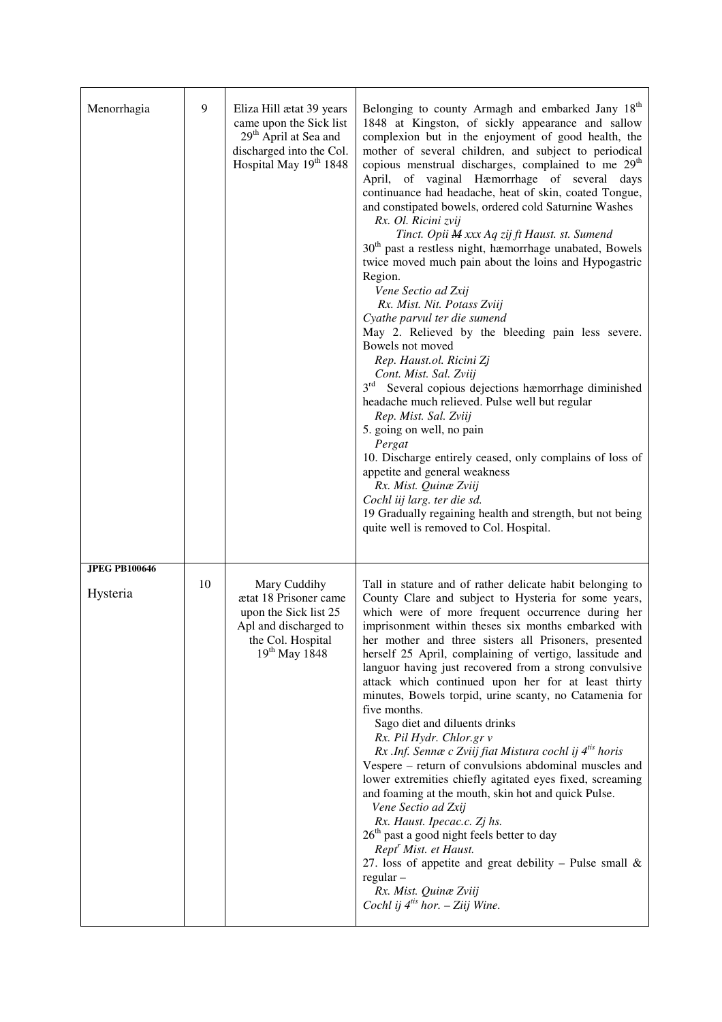| Menorrhagia                      | 9  | Eliza Hill ætat 39 years<br>came upon the Sick list<br>29 <sup>th</sup> April at Sea and<br>discharged into the Col.<br>Hospital May 19 <sup>th</sup> 1848 | Belonging to county Armagh and embarked Jany 18 <sup>th</sup><br>1848 at Kingston, of sickly appearance and sallow<br>complexion but in the enjoyment of good health, the<br>mother of several children, and subject to periodical<br>copious menstrual discharges, complained to me 29 <sup>th</sup><br>April, of vaginal Hæmorrhage of several days<br>continuance had headache, heat of skin, coated Tongue,<br>and constipated bowels, ordered cold Saturnine Washes<br>Rx. Ol. Ricini zvij<br>Tinct. Opii M xxx Aq zij ft Haust. st. Sumend<br>30 <sup>th</sup> past a restless night, hæmorrhage unabated, Bowels<br>twice moved much pain about the loins and Hypogastric<br>Region.<br>Vene Sectio ad Zxij<br>Rx. Mist. Nit. Potass Zviij<br>Cyathe parvul ter die sumend<br>May 2. Relieved by the bleeding pain less severe.<br>Bowels not moved<br>Rep. Haust.ol. Ricini Zj<br>Cont. Mist. Sal. Zviij<br>$3^{\text{rd}}$<br>Several copious dejections hæmorrhage diminished<br>headache much relieved. Pulse well but regular<br>Rep. Mist. Sal. Zviij<br>5. going on well, no pain<br>Pergat<br>10. Discharge entirely ceased, only complains of loss of<br>appetite and general weakness<br>Rx. Mist. Quinæ Zviij<br>Cochl iij larg. ter die sd.<br>19 Gradually regaining health and strength, but not being<br>quite well is removed to Col. Hospital. |
|----------------------------------|----|------------------------------------------------------------------------------------------------------------------------------------------------------------|------------------------------------------------------------------------------------------------------------------------------------------------------------------------------------------------------------------------------------------------------------------------------------------------------------------------------------------------------------------------------------------------------------------------------------------------------------------------------------------------------------------------------------------------------------------------------------------------------------------------------------------------------------------------------------------------------------------------------------------------------------------------------------------------------------------------------------------------------------------------------------------------------------------------------------------------------------------------------------------------------------------------------------------------------------------------------------------------------------------------------------------------------------------------------------------------------------------------------------------------------------------------------------------------------------------------------------------------------------------------|
| <b>JPEG PB100646</b><br>Hysteria | 10 | Mary Cuddihy<br>ætat 18 Prisoner came<br>upon the Sick list 25<br>Apl and discharged to<br>the Col. Hospital<br>$19^{th}$ May 1848                         | Tall in stature and of rather delicate habit belonging to<br>County Clare and subject to Hysteria for some years,<br>which were of more frequent occurrence during her<br>imprisonment within theses six months embarked with<br>her mother and three sisters all Prisoners, presented<br>herself 25 April, complaining of vertigo, lassitude and<br>languor having just recovered from a strong convulsive<br>attack which continued upon her for at least thirty<br>minutes, Bowels torpid, urine scanty, no Catamenia for<br>five months.<br>Sago diet and diluents drinks<br>Rx. Pil Hydr. Chlor.gr v<br>Rx .Inf. Sennæ c Zviij fiat Mistura cochl ij 4 <sup>tis</sup> horis<br>Vespere - return of convulsions abdominal muscles and<br>lower extremities chiefly agitated eyes fixed, screaming<br>and foaming at the mouth, skin hot and quick Pulse.<br>Vene Sectio ad Zxij<br>Rx. Haust. Ipecac.c. Zj hs.<br>26 <sup>th</sup> past a good night feels better to day<br>Rept <sup>r</sup> Mist. et Haust.<br>27. loss of appetite and great debility – Pulse small $\&$<br>$regular -$<br>Rx. Mist. Quinæ Zviij<br>Cochl ij $4^{i}$ hor. - Ziij Wine.                                                                                                                                                                                                          |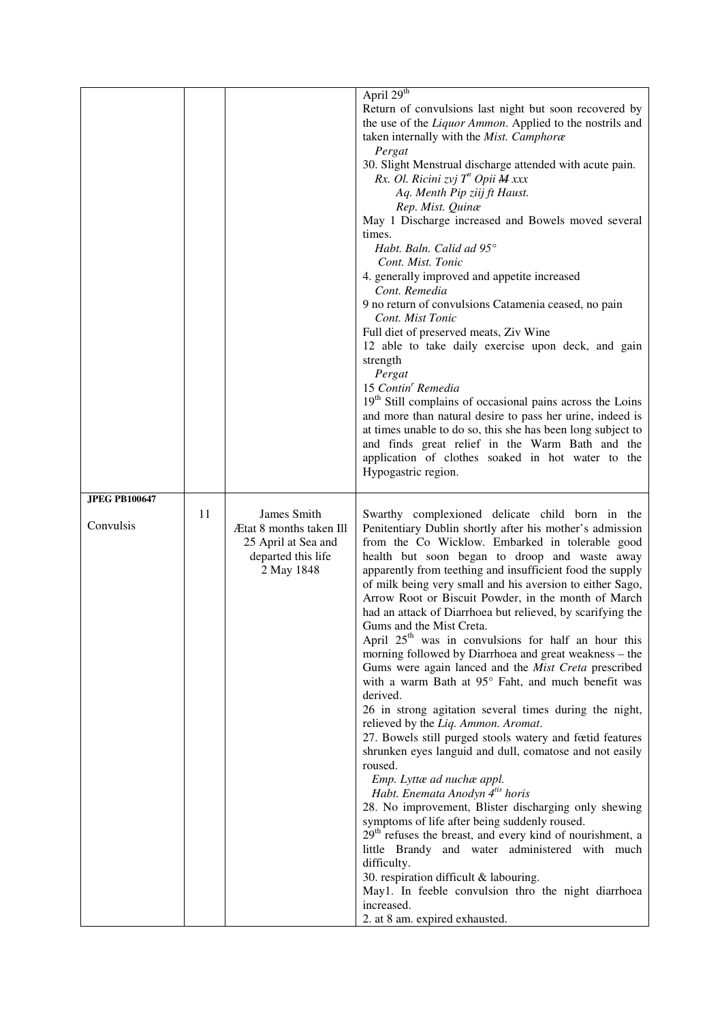|                      |    |                         | April 29 <sup>th</sup>                                                |
|----------------------|----|-------------------------|-----------------------------------------------------------------------|
|                      |    |                         | Return of convulsions last night but soon recovered by                |
|                      |    |                         | the use of the Liquor Ammon. Applied to the nostrils and              |
|                      |    |                         |                                                                       |
|                      |    |                         | taken internally with the Mist. Camphoræ                              |
|                      |    |                         | Pergat                                                                |
|                      |    |                         | 30. Slight Menstrual discharge attended with acute pain.              |
|                      |    |                         | Rx. Ol. Ricini zvj T <sup>n</sup> Opii <b>M</b> xxx                   |
|                      |    |                         | Aq. Menth Pip ziij ft Haust.                                          |
|                      |    |                         | Rep. Mist. Quinæ                                                      |
|                      |    |                         | May 1 Discharge increased and Bowels moved several                    |
|                      |    |                         | times.                                                                |
|                      |    |                         | Habt. Baln. Calid ad 95°                                              |
|                      |    |                         | Cont. Mist. Tonic                                                     |
|                      |    |                         | 4. generally improved and appetite increased                          |
|                      |    |                         | Cont. Remedia                                                         |
|                      |    |                         | 9 no return of convulsions Catamenia ceased, no pain                  |
|                      |    |                         | Cont. Mist Tonic                                                      |
|                      |    |                         | Full diet of preserved meats, Ziv Wine                                |
|                      |    |                         | 12 able to take daily exercise upon deck, and gain                    |
|                      |    |                         |                                                                       |
|                      |    |                         | strength                                                              |
|                      |    |                         | Pergat                                                                |
|                      |    |                         | 15 Contin <sup>r</sup> Remedia                                        |
|                      |    |                         | 19 <sup>th</sup> Still complains of occasional pains across the Loins |
|                      |    |                         | and more than natural desire to pass her urine, indeed is             |
|                      |    |                         | at times unable to do so, this she has been long subject to           |
|                      |    |                         | and finds great relief in the Warm Bath and the                       |
|                      |    |                         | application of clothes soaked in hot water to the                     |
|                      |    |                         | Hypogastric region.                                                   |
|                      |    |                         |                                                                       |
| <b>JPEG PB100647</b> |    |                         |                                                                       |
|                      | 11 |                         |                                                                       |
|                      |    | James Smith             | Swarthy complexioned delicate child born in the                       |
| Convulsis            |    | Ætat 8 months taken Ill | Penitentiary Dublin shortly after his mother's admission              |
|                      |    |                         | from the Co Wicklow. Embarked in tolerable good                       |
|                      |    | 25 April at Sea and     |                                                                       |
|                      |    | departed this life      | health but soon began to droop and waste away                         |
|                      |    | 2 May 1848              | apparently from teething and insufficient food the supply             |
|                      |    |                         | of milk being very small and his aversion to either Sago,             |
|                      |    |                         | Arrow Root or Biscuit Powder, in the month of March                   |
|                      |    |                         | had an attack of Diarrhoea but relieved, by scarifying the            |
|                      |    |                         | Gums and the Mist Creta.                                              |
|                      |    |                         | April 25 <sup>th</sup> was in convulsions for half an hour this       |
|                      |    |                         | morning followed by Diarrhoea and great weakness - the                |
|                      |    |                         | Gums were again lanced and the Mist Creta prescribed                  |
|                      |    |                         | with a warm Bath at 95° Faht, and much benefit was                    |
|                      |    |                         | derived.                                                              |
|                      |    |                         | 26 in strong agitation several times during the night,                |
|                      |    |                         | relieved by the Liq. Ammon. Aromat.                                   |
|                      |    |                         | 27. Bowels still purged stools watery and fœtid features              |
|                      |    |                         | shrunken eyes languid and dull, comatose and not easily               |
|                      |    |                         | roused.                                                               |
|                      |    |                         | Emp. Lyttæ ad nuchæ appl.                                             |
|                      |    |                         | Habt. Enemata Anodyn 4 <sup>tis</sup> horis                           |
|                      |    |                         | 28. No improvement, Blister discharging only shewing                  |
|                      |    |                         | symptoms of life after being suddenly roused.                         |
|                      |    |                         | 29 <sup>th</sup> refuses the breast, and every kind of nourishment, a |
|                      |    |                         | little Brandy and water administered with much                        |
|                      |    |                         | difficulty.                                                           |
|                      |    |                         | 30. respiration difficult & labouring.                                |
|                      |    |                         | May1. In feeble convulsion thro the night diarrhoea                   |
|                      |    |                         | increased.                                                            |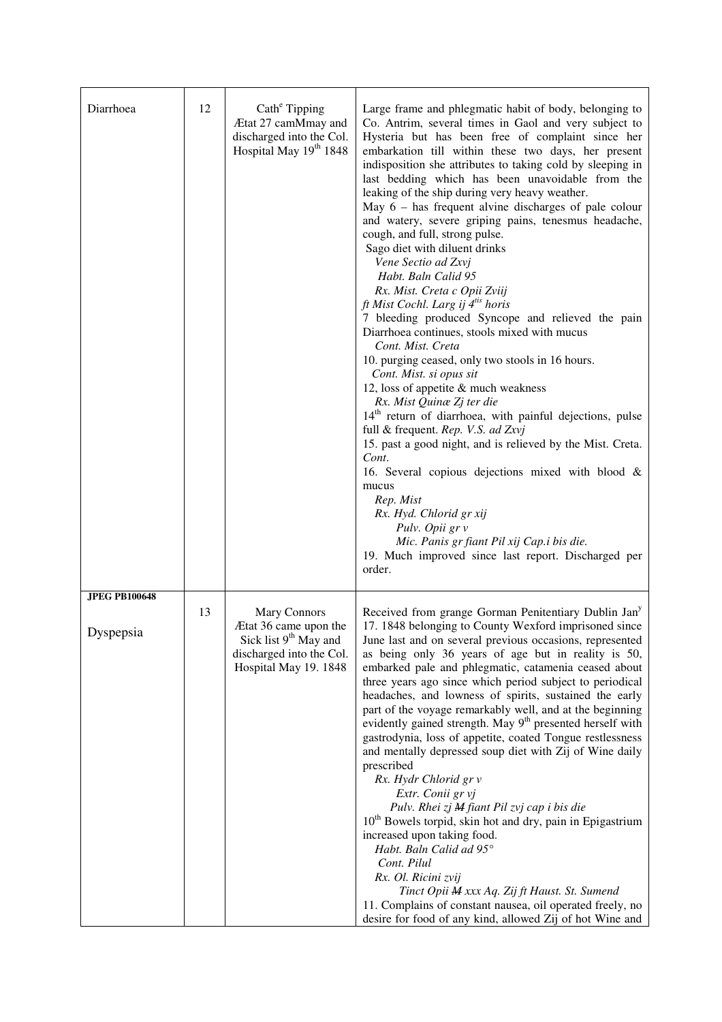| Diarrhoea                         | 12 | Cath <sup>e</sup> Tipping<br>Ætat 27 camMmay and<br>discharged into the Col.<br>Hospital May 19 <sup>th</sup> 1848              | Large frame and phlegmatic habit of body, belonging to<br>Co. Antrim, several times in Gaol and very subject to<br>Hysteria but has been free of complaint since her<br>embarkation till within these two days, her present<br>indisposition she attributes to taking cold by sleeping in<br>last bedding which has been unavoidable from the<br>leaking of the ship during very heavy weather.<br>May $6$ – has frequent alvine discharges of pale colour<br>and watery, severe griping pains, tenesmus headache,<br>cough, and full, strong pulse.<br>Sago diet with diluent drinks<br>Vene Sectio ad Zxvj<br>Habt. Baln Calid 95<br>Rx. Mist. Creta c Opii Zviij<br>ft Mist Cochl. Larg ij 4 <sup>tis</sup> horis<br>7 bleeding produced Syncope and relieved the pain<br>Diarrhoea continues, stools mixed with mucus<br>Cont. Mist. Creta<br>10. purging ceased, only two stools in 16 hours.<br>Cont. Mist. si opus sit<br>12, loss of appetite $&$ much weakness<br>Rx. Mist Quinæ Zj ter die<br>14 <sup>th</sup> return of diarrhoea, with painful dejections, pulse<br>full & frequent. Rep. V.S. ad Zxvj<br>15. past a good night, and is relieved by the Mist. Creta.<br>Cont.<br>16. Several copious dejections mixed with blood &<br>mucus<br>Rep. Mist<br>Rx. Hyd. Chlorid gr xij<br>Pulv. Opii gr v<br>Mic. Panis gr fiant Pil xij Cap.i bis die.<br>19. Much improved since last report. Discharged per<br>order. |
|-----------------------------------|----|---------------------------------------------------------------------------------------------------------------------------------|-----------------------------------------------------------------------------------------------------------------------------------------------------------------------------------------------------------------------------------------------------------------------------------------------------------------------------------------------------------------------------------------------------------------------------------------------------------------------------------------------------------------------------------------------------------------------------------------------------------------------------------------------------------------------------------------------------------------------------------------------------------------------------------------------------------------------------------------------------------------------------------------------------------------------------------------------------------------------------------------------------------------------------------------------------------------------------------------------------------------------------------------------------------------------------------------------------------------------------------------------------------------------------------------------------------------------------------------------------------------------------------------------------------------------------------|
| <b>JPEG PB100648</b><br>Dyspepsia | 13 | Mary Connors<br>Ætat 36 came upon the<br>Sick list 9 <sup>th</sup> May and<br>discharged into the Col.<br>Hospital May 19. 1848 | Received from grange Gorman Penitentiary Dublin Jan <sup>y</sup><br>17. 1848 belonging to County Wexford imprisoned since<br>June last and on several previous occasions, represented<br>as being only 36 years of age but in reality is 50,<br>embarked pale and phlegmatic, catamenia ceased about<br>three years ago since which period subject to periodical<br>headaches, and lowness of spirits, sustained the early<br>part of the voyage remarkably well, and at the beginning<br>evidently gained strength. May 9 <sup>th</sup> presented herself with<br>gastrodynia, loss of appetite, coated Tongue restlessness<br>and mentally depressed soup diet with Zij of Wine daily<br>prescribed<br>Rx. Hydr Chlorid gr v<br>Extr. Conii gr vj<br>Pulv. Rhei zj M fiant Pil zvj cap i bis die<br>10 <sup>th</sup> Bowels torpid, skin hot and dry, pain in Epigastrium<br>increased upon taking food.<br>Habt. Baln Calid ad 95°<br>Cont. Pilul<br>Rx. Ol. Ricini zvij<br>Tinct Opii M xxx Aq. Zij ft Haust. St. Sumend<br>11. Complains of constant nausea, oil operated freely, no<br>desire for food of any kind, allowed Zij of hot Wine and                                                                                                                                                                                                                                                                             |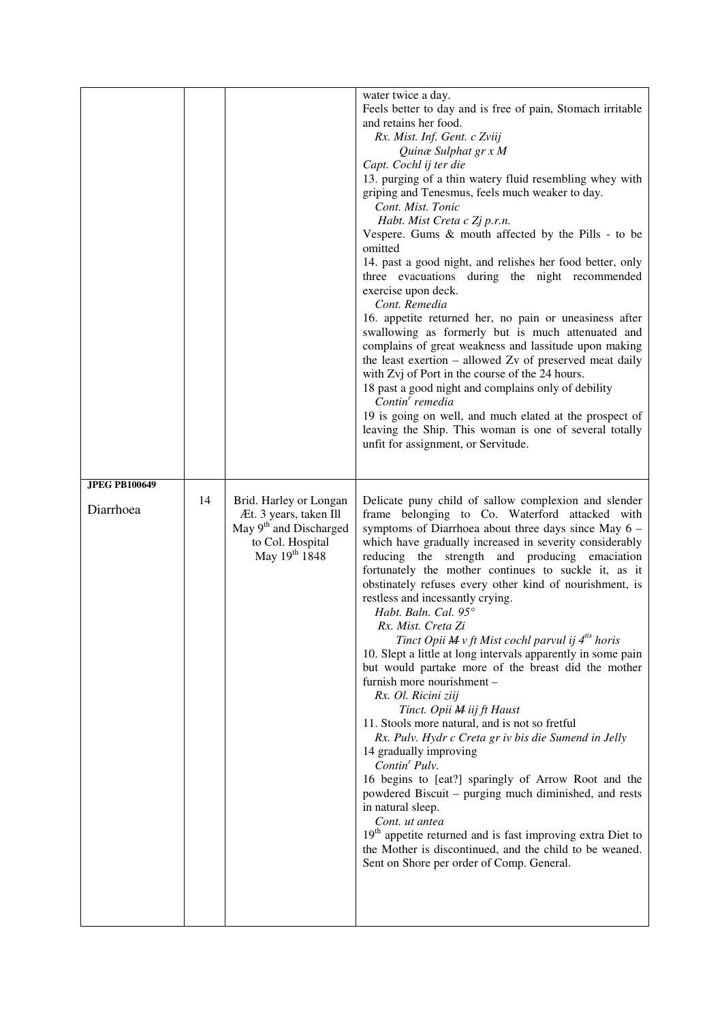| <b>JPEG PB100649</b> |    |                                                                                                                                         | water twice a day.<br>Feels better to day and is free of pain, Stomach irritable<br>and retains her food.<br>Rx. Mist. Inf. Gent. c Zviij<br>Quinæ Sulphat gr x M<br>Capt. Cochl ij ter die<br>13. purging of a thin watery fluid resembling whey with<br>griping and Tenesmus, feels much weaker to day.<br>Cont. Mist. Tonic<br>Habt. Mist Creta c Zj p.r.n.<br>Vespere. Gums & mouth affected by the Pills - to be<br>omitted<br>14. past a good night, and relishes her food better, only<br>three evacuations during the night recommended<br>exercise upon deck.<br>Cont. Remedia<br>16. appetite returned her, no pain or uneasiness after<br>swallowing as formerly but is much attenuated and<br>complains of great weakness and lassitude upon making<br>the least exertion - allowed Zv of preserved meat daily<br>with Zvj of Port in the course of the 24 hours.<br>18 past a good night and complains only of debility<br>Contin' remedia<br>19 is going on well, and much elated at the prospect of<br>leaving the Ship. This woman is one of several totally<br>unfit for assignment, or Servitude.                                                                                                                                  |
|----------------------|----|-----------------------------------------------------------------------------------------------------------------------------------------|------------------------------------------------------------------------------------------------------------------------------------------------------------------------------------------------------------------------------------------------------------------------------------------------------------------------------------------------------------------------------------------------------------------------------------------------------------------------------------------------------------------------------------------------------------------------------------------------------------------------------------------------------------------------------------------------------------------------------------------------------------------------------------------------------------------------------------------------------------------------------------------------------------------------------------------------------------------------------------------------------------------------------------------------------------------------------------------------------------------------------------------------------------------------------------------------------------------------------------------------------|
| Diarrhoea            | 14 | Brid. Harley or Longan<br>Æt. 3 years, taken Ill<br>May 9 <sup>th</sup> and Discharged<br>to Col. Hospital<br>May 19 <sup>th</sup> 1848 | Delicate puny child of sallow complexion and slender<br>frame belonging to Co. Waterford attacked with<br>symptoms of Diarrhoea about three days since May 6 -<br>which have gradually increased in severity considerably<br>reducing the strength and producing emaciation<br>fortunately the mother continues to suckle it, as it<br>obstinately refuses every other kind of nourishment, is<br>restless and incessantly crying.<br>Habt. Baln. Cal. 95°<br>Rx. Mist. Creta Zi<br>Tinct Opii $M v$ ft Mist cochl parvul ij $4^{i}$ horis<br>10. Slept a little at long intervals apparently in some pain<br>but would partake more of the breast did the mother<br>furnish more nourishment -<br>Rx. Ol. Ricini ziij<br>Tinct. Opii M iij ft Haust<br>11. Stools more natural, and is not so fretful<br>Rx. Pulv. Hydr c Creta gr iv bis die Sumend in Jelly<br>14 gradually improving<br>$Contin'$ Pulv.<br>16 begins to [eat?] sparingly of Arrow Root and the<br>powdered Biscuit – purging much diminished, and rests<br>in natural sleep.<br>Cont. ut antea<br>19 <sup>th</sup> appetite returned and is fast improving extra Diet to<br>the Mother is discontinued, and the child to be weaned.<br>Sent on Shore per order of Comp. General. |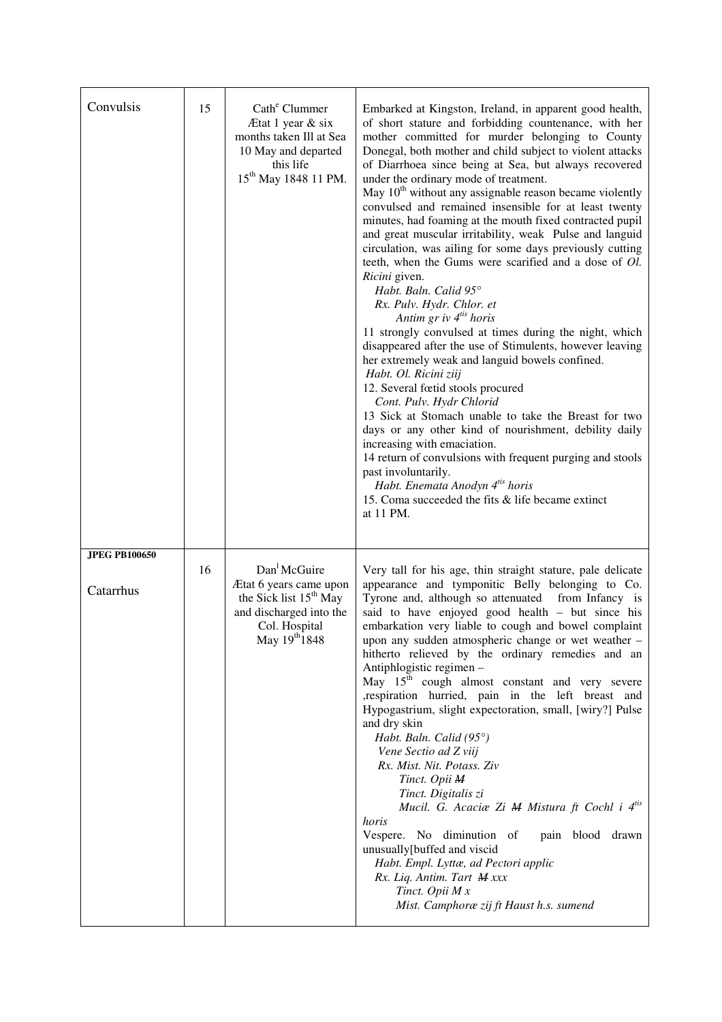| Convulsis                         | 15 | Cath <sup>e</sup> Clummer<br>Ætat 1 year & six<br>months taken Ill at Sea<br>10 May and departed<br>this life<br>15 <sup>th</sup> May 1848 11 PM.     | Embarked at Kingston, Ireland, in apparent good health,<br>of short stature and forbidding countenance, with her<br>mother committed for murder belonging to County<br>Donegal, both mother and child subject to violent attacks<br>of Diarrhoea since being at Sea, but always recovered<br>under the ordinary mode of treatment.<br>May 10 <sup>th</sup> without any assignable reason became violently<br>convulsed and remained insensible for at least twenty<br>minutes, had foaming at the mouth fixed contracted pupil<br>and great muscular irritability, weak Pulse and languid<br>circulation, was ailing for some days previously cutting<br>teeth, when the Gums were scarified and a dose of Ol.<br>Ricini given.<br>Habt. Baln. Calid 95°<br>Rx. Pulv. Hydr. Chlor. et<br>Antim gr iv 4 <sup>tis</sup> horis<br>11 strongly convulsed at times during the night, which<br>disappeared after the use of Stimulents, however leaving<br>her extremely weak and languid bowels confined.<br>Habt. Ol. Ricini ziij<br>12. Several fœtid stools procured<br>Cont. Pulv. Hydr Chlorid<br>13 Sick at Stomach unable to take the Breast for two<br>days or any other kind of nourishment, debility daily<br>increasing with emaciation.<br>14 return of convulsions with frequent purging and stools<br>past involuntarily.<br>Habt. Enemata Anodyn 4 <sup>tis</sup> horis<br>15. Coma succeeded the fits & life became extinct<br>at 11 PM. |
|-----------------------------------|----|-------------------------------------------------------------------------------------------------------------------------------------------------------|-----------------------------------------------------------------------------------------------------------------------------------------------------------------------------------------------------------------------------------------------------------------------------------------------------------------------------------------------------------------------------------------------------------------------------------------------------------------------------------------------------------------------------------------------------------------------------------------------------------------------------------------------------------------------------------------------------------------------------------------------------------------------------------------------------------------------------------------------------------------------------------------------------------------------------------------------------------------------------------------------------------------------------------------------------------------------------------------------------------------------------------------------------------------------------------------------------------------------------------------------------------------------------------------------------------------------------------------------------------------------------------------------------------------------------------------------------|
| <b>JPEG PB100650</b><br>Catarrhus | 16 | Dan <sup>1</sup> McGuire<br>Ætat 6 years came upon<br>the Sick list 15 <sup>th</sup> May<br>and discharged into the<br>Col. Hospital<br>May 19th 1848 | Very tall for his age, thin straight stature, pale delicate<br>appearance and tymponitic Belly belonging to Co.<br>Tyrone and, although so attenuated<br>from Infancy is<br>said to have enjoyed good health – but since his<br>embarkation very liable to cough and bowel complaint<br>upon any sudden atmospheric change or wet weather -<br>hitherto relieved by the ordinary remedies and an<br>Antiphlogistic regimen -<br>May 15 <sup>th</sup> cough almost constant and very severe<br>, respiration hurried, pain in the left breast and<br>Hypogastrium, slight expectoration, small, [wiry?] Pulse<br>and dry skin<br>Habt. Baln. Calid (95°)<br>Vene Sectio ad Z viij<br>Rx. Mist. Nit. Potass. Ziv<br>Tinct. Opii M<br>Tinct. Digitalis zi<br>Mucil. G. Acaciae Zi M Mistura ft Cochl i 4 <sup>tis</sup><br>horis<br>Vespere. No diminution of<br>pain blood drawn<br>unusually[buffed and viscid<br>Habt. Empl. Lyttæ, ad Pectori applic<br>Rx. Liq. Antim. Tart M xxx<br>Tinct. Opii M x<br>Mist. Camphoræ zij ft Haust h.s. sumend                                                                                                                                                                                                                                                                                                                                                                                                   |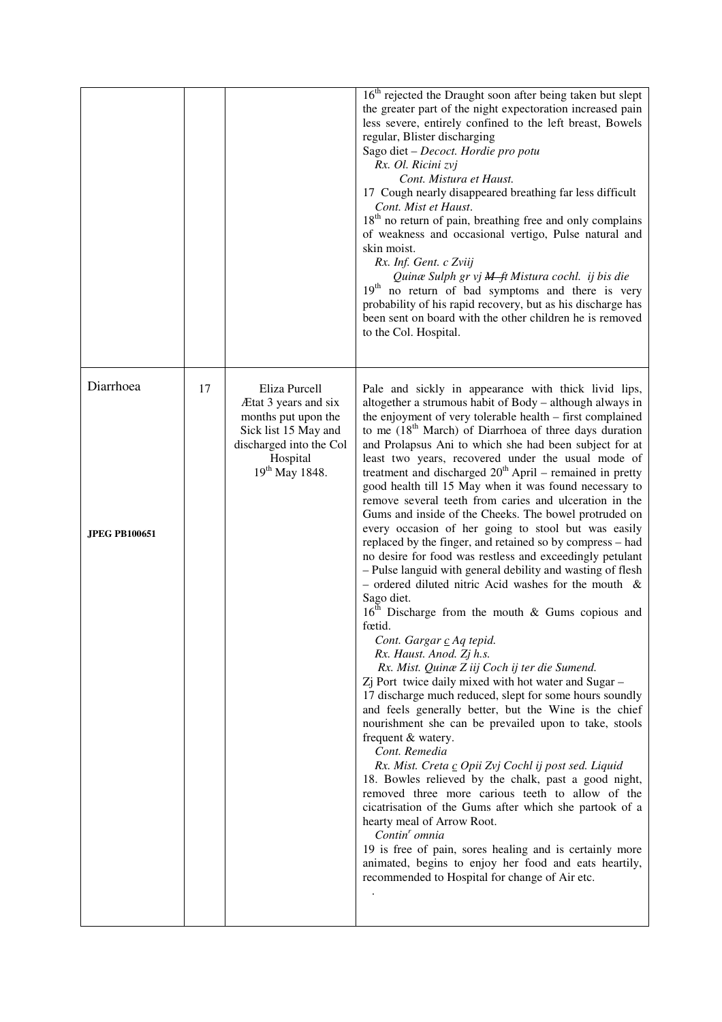|                                   |    |                                                                                                                                                           | 16 <sup>th</sup> rejected the Draught soon after being taken but slept<br>the greater part of the night expectoration increased pain<br>less severe, entirely confined to the left breast, Bowels<br>regular, Blister discharging<br>Sago diet - Decoct. Hordie pro potu<br>Rx. Ol. Ricini zvj<br>Cont. Mistura et Haust.<br>17 Cough nearly disappeared breathing far less difficult<br>Cont. Mist et Haust.<br>18 <sup>th</sup> no return of pain, breathing free and only complains<br>of weakness and occasional vertigo, Pulse natural and<br>skin moist.<br>Rx. Inf. Gent. c Zviij<br>Quinæ Sulph gr vj M ft Mistura cochl. ij bis die<br>19 <sup>th</sup><br>no return of bad symptoms and there is very<br>probability of his rapid recovery, but as his discharge has<br>been sent on board with the other children he is removed<br>to the Col. Hospital.                                                                                                                                                                                                                                                                                                                                                                                                                                                                                                                                                                                                                                                                                                                                                                                                                                                                                                                                                                           |
|-----------------------------------|----|-----------------------------------------------------------------------------------------------------------------------------------------------------------|-----------------------------------------------------------------------------------------------------------------------------------------------------------------------------------------------------------------------------------------------------------------------------------------------------------------------------------------------------------------------------------------------------------------------------------------------------------------------------------------------------------------------------------------------------------------------------------------------------------------------------------------------------------------------------------------------------------------------------------------------------------------------------------------------------------------------------------------------------------------------------------------------------------------------------------------------------------------------------------------------------------------------------------------------------------------------------------------------------------------------------------------------------------------------------------------------------------------------------------------------------------------------------------------------------------------------------------------------------------------------------------------------------------------------------------------------------------------------------------------------------------------------------------------------------------------------------------------------------------------------------------------------------------------------------------------------------------------------------------------------------------------------------------------------------------------------------------------------|
| Diarrhoea<br><b>JPEG PB100651</b> | 17 | Eliza Purcell<br>Ætat 3 years and six<br>months put upon the<br>Sick list 15 May and<br>discharged into the Col<br>Hospital<br>19 <sup>th</sup> May 1848. | Pale and sickly in appearance with thick livid lips,<br>altogether a strumous habit of Body - although always in<br>the enjoyment of very tolerable health - first complained<br>to me $(18th March)$ of Diarrhoea of three days duration<br>and Prolapsus Ani to which she had been subject for at<br>least two years, recovered under the usual mode of<br>treatment and discharged $20th$ April – remained in pretty<br>good health till 15 May when it was found necessary to<br>remove several teeth from caries and ulceration in the<br>Gums and inside of the Cheeks. The bowel protruded on<br>every occasion of her going to stool but was easily<br>replaced by the finger, and retained so by compress - had<br>no desire for food was restless and exceedingly petulant<br>- Pulse languid with general debility and wasting of flesh<br>- ordered diluted nitric Acid washes for the mouth $\&$<br>Sago diet.<br>16 <sup>th</sup> Discharge from the mouth & Gums copious and<br>fœtid.<br>Cont. Gargar c Aq tepid.<br>Rx. Haust. Anod. Zj h.s.<br>Rx. Mist. Quinæ Z iij Coch ij ter die Sumend.<br>Zj Port twice daily mixed with hot water and Sugar -<br>17 discharge much reduced, slept for some hours soundly<br>and feels generally better, but the Wine is the chief<br>nourishment she can be prevailed upon to take, stools<br>frequent & watery.<br>Cont. Remedia<br>Rx. Mist. Creta c Opii Zvj Cochl ij post sed. Liquid<br>18. Bowles relieved by the chalk, past a good night,<br>removed three more carious teeth to allow of the<br>cicatrisation of the Gums after which she partook of a<br>hearty meal of Arrow Root.<br>Contin' omnia<br>19 is free of pain, sores healing and is certainly more<br>animated, begins to enjoy her food and eats heartily,<br>recommended to Hospital for change of Air etc. |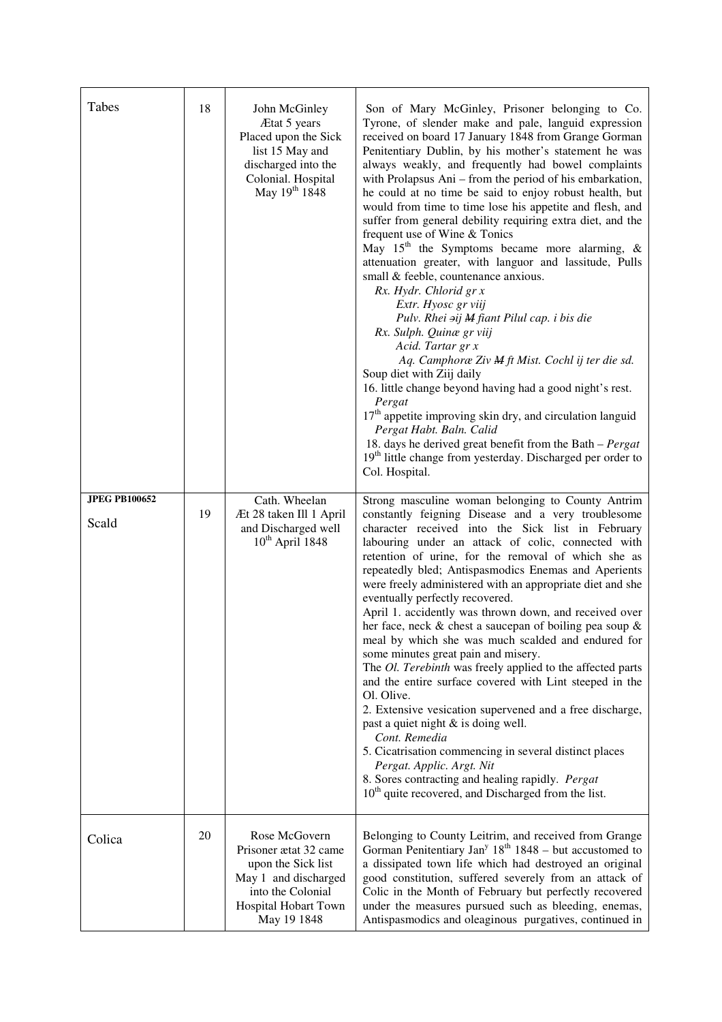| Tabes                         | 18 | John McGinley<br>Ætat 5 years<br>Placed upon the Sick<br>list 15 May and<br>discharged into the<br>Colonial. Hospital<br>May 19 <sup>th</sup> 1848 | Son of Mary McGinley, Prisoner belonging to Co.<br>Tyrone, of slender make and pale, languid expression<br>received on board 17 January 1848 from Grange Gorman<br>Penitentiary Dublin, by his mother's statement he was<br>always weakly, and frequently had bowel complaints<br>with Prolapsus Ani - from the period of his embarkation,<br>he could at no time be said to enjoy robust health, but<br>would from time to time lose his appetite and flesh, and<br>suffer from general debility requiring extra diet, and the<br>frequent use of Wine & Tonics<br>May 15 <sup>th</sup> the Symptoms became more alarming, $\&$<br>attenuation greater, with languor and lassitude, Pulls<br>small & feeble, countenance anxious.<br>Rx. Hydr. Chlorid gr x<br>Extr. Hyosc gr viij<br>Pulv. Rhei aij M fiant Pilul cap. i bis die<br>Rx. Sulph. Quinæ gr viij<br>Acid. Tartar gr x<br>Aq. Camphoræ Ziv M ft Mist. Cochl ij ter die sd.<br>Soup diet with Ziij daily<br>16. little change beyond having had a good night's rest.<br>Pergat<br>17 <sup>th</sup> appetite improving skin dry, and circulation languid<br>Pergat Habt. Baln. Calid<br>18. days he derived great benefit from the Bath - Pergat<br>19 <sup>th</sup> little change from yesterday. Discharged per order to<br>Col. Hospital. |
|-------------------------------|----|----------------------------------------------------------------------------------------------------------------------------------------------------|---------------------------------------------------------------------------------------------------------------------------------------------------------------------------------------------------------------------------------------------------------------------------------------------------------------------------------------------------------------------------------------------------------------------------------------------------------------------------------------------------------------------------------------------------------------------------------------------------------------------------------------------------------------------------------------------------------------------------------------------------------------------------------------------------------------------------------------------------------------------------------------------------------------------------------------------------------------------------------------------------------------------------------------------------------------------------------------------------------------------------------------------------------------------------------------------------------------------------------------------------------------------------------------------------------|
| <b>JPEG PB100652</b><br>Scald | 19 | Cath. Wheelan<br>Æt 28 taken Ill 1 April<br>and Discharged well<br>$10^{th}$ April 1848                                                            | Strong masculine woman belonging to County Antrim<br>constantly feigning Disease and a very troublesome<br>character received into the Sick list in February<br>labouring under an attack of colic, connected with<br>retention of urine, for the removal of which she as<br>repeatedly bled; Antispasmodics Enemas and Aperients<br>were freely administered with an appropriate diet and she<br>eventually perfectly recovered.<br>April 1. accidently was thrown down, and received over<br>her face, neck $\&$ chest a saucepan of boiling pea soup $\&$<br>meal by which she was much scalded and endured for<br>some minutes great pain and misery.<br>The Ol. Terebinth was freely applied to the affected parts<br>and the entire surface covered with Lint steeped in the<br>Ol. Olive.<br>2. Extensive vesication supervened and a free discharge,<br>past a quiet night & is doing well.<br>Cont. Remedia<br>5. Cicatrisation commencing in several distinct places<br>Pergat. Applic. Argt. Nit<br>8. Sores contracting and healing rapidly. Pergat<br>10 <sup>th</sup> quite recovered, and Discharged from the list.                                                                                                                                                                      |
| Colica                        | 20 | Rose McGovern<br>Prisoner ætat 32 came<br>upon the Sick list<br>May 1 and discharged<br>into the Colonial<br>Hospital Hobart Town<br>May 19 1848   | Belonging to County Leitrim, and received from Grange<br>Gorman Penitentiary Jan <sup>y</sup> $18th 1848$ – but accustomed to<br>a dissipated town life which had destroyed an original<br>good constitution, suffered severely from an attack of<br>Colic in the Month of February but perfectly recovered<br>under the measures pursued such as bleeding, enemas,<br>Antispasmodics and oleaginous purgatives, continued in                                                                                                                                                                                                                                                                                                                                                                                                                                                                                                                                                                                                                                                                                                                                                                                                                                                                           |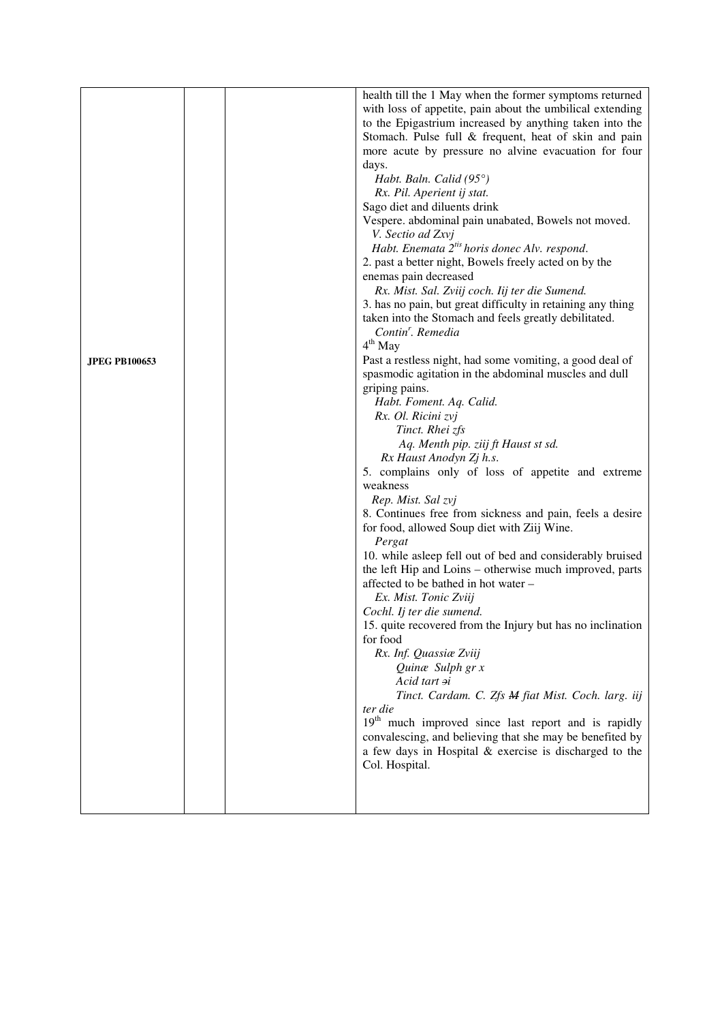|                      |  | health till the 1 May when the former symptoms returned         |
|----------------------|--|-----------------------------------------------------------------|
|                      |  | with loss of appetite, pain about the umbilical extending       |
|                      |  | to the Epigastrium increased by anything taken into the         |
|                      |  | Stomach. Pulse full & frequent, heat of skin and pain           |
|                      |  | more acute by pressure no alvine evacuation for four            |
|                      |  | days.                                                           |
|                      |  | Habt. Baln. Calid $(95^{\circ})$                                |
|                      |  | Rx. Pil. Aperient ij stat.                                      |
|                      |  | Sago diet and diluents drink                                    |
|                      |  | Vespere. abdominal pain unabated, Bowels not moved.             |
|                      |  | V. Sectio ad Zxvj                                               |
|                      |  | Habt. Enemata 2 <sup>tis</sup> horis donec Alv. respond.        |
|                      |  | 2. past a better night, Bowels freely acted on by the           |
|                      |  | enemas pain decreased                                           |
|                      |  |                                                                 |
|                      |  | Rx. Mist. Sal. Zviij coch. Iij ter die Sumend.                  |
|                      |  | 3. has no pain, but great difficulty in retaining any thing     |
|                      |  | taken into the Stomach and feels greatly debilitated.           |
|                      |  | Contin'. Remedia                                                |
|                      |  | 4 <sup>th</sup> May                                             |
| <b>JPEG PB100653</b> |  | Past a restless night, had some vomiting, a good deal of        |
|                      |  | spasmodic agitation in the abdominal muscles and dull           |
|                      |  | griping pains.                                                  |
|                      |  | Habt. Foment. Aq. Calid.                                        |
|                      |  | Rx. Ol. Ricini zvj                                              |
|                      |  | Tinct. Rhei zfs                                                 |
|                      |  | Aq. Menth pip. ziij ft Haust st sd.                             |
|                      |  | Rx Haust Anodyn Zj h.s.                                         |
|                      |  | 5. complains only of loss of appetite and extreme               |
|                      |  | weakness                                                        |
|                      |  | Rep. Mist. Sal zvj                                              |
|                      |  | 8. Continues free from sickness and pain, feels a desire        |
|                      |  | for food, allowed Soup diet with Ziij Wine.                     |
|                      |  | Pergat                                                          |
|                      |  | 10. while asleep fell out of bed and considerably bruised       |
|                      |  | the left Hip and Loins – otherwise much improved, parts         |
|                      |  | affected to be bathed in hot water -                            |
|                      |  |                                                                 |
|                      |  | Ex. Mist. Tonic Zviij                                           |
|                      |  | Cochl. Ij ter die sumend.                                       |
|                      |  | 15. quite recovered from the Injury but has no inclination      |
|                      |  | for food                                                        |
|                      |  | Rx. Inf. Quassiae Zviij                                         |
|                      |  | Quinæ Sulph gr x                                                |
|                      |  | Acid tart si                                                    |
|                      |  | Tinct. Cardam. C. Zfs M fiat Mist. Coch. larg. iij              |
|                      |  | ter die                                                         |
|                      |  | 19 <sup>th</sup> much improved since last report and is rapidly |
|                      |  | convalescing, and believing that she may be benefited by        |
|                      |  | a few days in Hospital & exercise is discharged to the          |
|                      |  | Col. Hospital.                                                  |
|                      |  |                                                                 |
|                      |  |                                                                 |
|                      |  |                                                                 |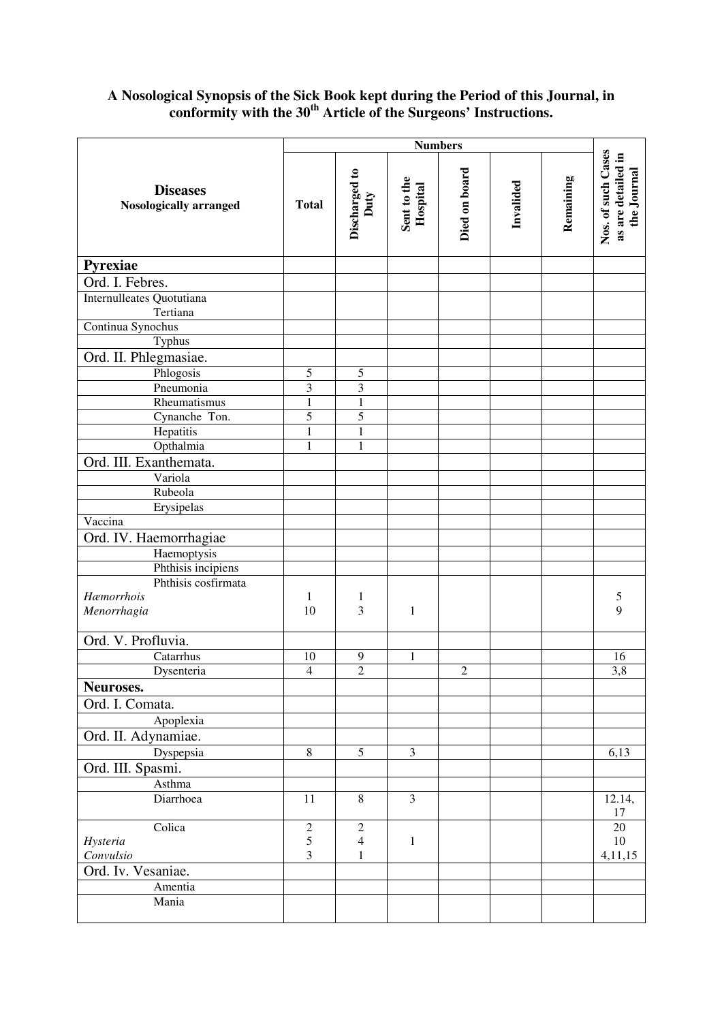## **A Nosological Synopsis of the Sick Book kept during the Period of this Journal, in conformity with the 30th Article of the Surgeons' Instructions.**

|                                           | <b>Numbers</b> |                       |                         |               |           |           |                                                         |
|-------------------------------------------|----------------|-----------------------|-------------------------|---------------|-----------|-----------|---------------------------------------------------------|
| <b>Diseases</b><br>Nosologically arranged | <b>Total</b>   | Discharged to<br>Duty | Sent to the<br>Hospital | Died on board | Invalided | Remaining | Nos. of such Cases<br>as are detailed in<br>the Journal |
| Pyrexiae                                  |                |                       |                         |               |           |           |                                                         |
| Ord. I. Febres.                           |                |                       |                         |               |           |           |                                                         |
| Internulleates Quotutiana<br>Tertiana     |                |                       |                         |               |           |           |                                                         |
| Continua Synochus                         |                |                       |                         |               |           |           |                                                         |
| Typhus                                    |                |                       |                         |               |           |           |                                                         |
| Ord. II. Phlegmasiae.                     |                |                       |                         |               |           |           |                                                         |
| Phlogosis                                 | 5              | 5                     |                         |               |           |           |                                                         |
| Pneumonia                                 | 3              | 3                     |                         |               |           |           |                                                         |
| Rheumatismus                              | $\mathbf{1}$   | $\mathbf{1}$          |                         |               |           |           |                                                         |
| Cynanche Ton.                             | 5              | $\overline{5}$        |                         |               |           |           |                                                         |
| Hepatitis                                 | $\mathbf{1}$   | $\mathbf{1}$          |                         |               |           |           |                                                         |
| Opthalmia                                 | 1              | $\mathbf{1}$          |                         |               |           |           |                                                         |
| Ord. III. Exanthemata.                    |                |                       |                         |               |           |           |                                                         |
| Variola                                   |                |                       |                         |               |           |           |                                                         |
| Rubeola                                   |                |                       |                         |               |           |           |                                                         |
| Erysipelas<br>Vaccina                     |                |                       |                         |               |           |           |                                                         |
|                                           |                |                       |                         |               |           |           |                                                         |
| Ord. IV. Haemorrhagiae                    |                |                       |                         |               |           |           |                                                         |
| Haemoptysis                               |                |                       |                         |               |           |           |                                                         |
| Phthisis incipiens<br>Phthisis cosfirmata |                |                       |                         |               |           |           |                                                         |
| Hæmorrhois                                | 1              | $\mathbf{1}$          |                         |               |           |           | 5                                                       |
| Menorrhagia                               | 10             | 3                     | $\mathbf{1}$            |               |           |           | 9                                                       |
|                                           |                |                       |                         |               |           |           |                                                         |
| Ord. V. Profluvia.                        |                |                       |                         |               |           |           |                                                         |
| Catarrhus                                 | 10             | 9                     | $\mathbf{1}$            |               |           |           | 16                                                      |
| Dysenteria                                | $\overline{4}$ | $\overline{2}$        |                         | $\sqrt{2}$    |           |           | 3,8                                                     |
| Neuroses.                                 |                |                       |                         |               |           |           |                                                         |
| Ord. I. Comata.                           |                |                       |                         |               |           |           |                                                         |
| Apoplexia                                 |                |                       |                         |               |           |           |                                                         |
| Ord. II. Adynamiae.                       |                |                       |                         |               |           |           |                                                         |
| Dyspepsia                                 | $\,8\,$        | 5                     | 3                       |               |           |           | 6,13                                                    |
| Ord. III. Spasmi.                         |                |                       |                         |               |           |           |                                                         |
| Asthma                                    |                |                       |                         |               |           |           |                                                         |
| Diarrhoea                                 | 11             | 8                     | 3                       |               |           |           | 12.14,                                                  |
|                                           |                |                       |                         |               |           |           | 17                                                      |
| Colica                                    | $\overline{c}$ | $\overline{2}$        |                         |               |           |           | 20                                                      |
| Hysteria                                  | 5              | $\overline{4}$        | 1                       |               |           |           | $10\,$                                                  |
| Convulsio                                 | 3              | $\mathbf{1}$          |                         |               |           |           | 4,11,15                                                 |
| Ord. Iv. Vesaniae.                        |                |                       |                         |               |           |           |                                                         |
| Amentia                                   |                |                       |                         |               |           |           |                                                         |
| Mania                                     |                |                       |                         |               |           |           |                                                         |
|                                           |                |                       |                         |               |           |           |                                                         |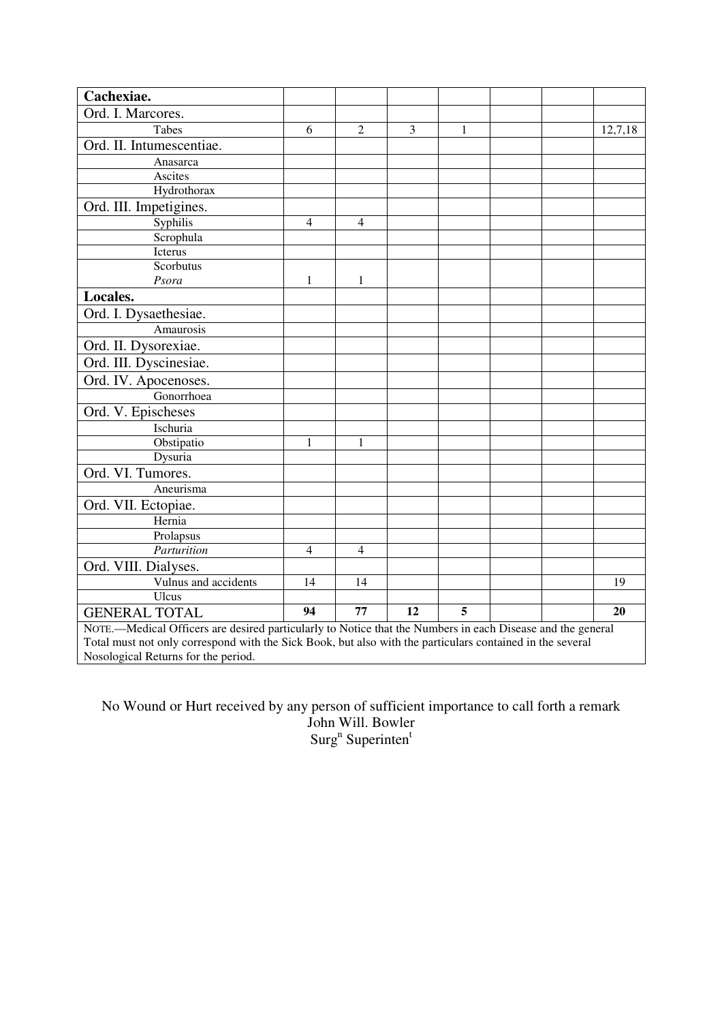| Cachexiae.                                                                                                 |                |                |    |   |  |         |
|------------------------------------------------------------------------------------------------------------|----------------|----------------|----|---|--|---------|
| Ord. I. Marcores.                                                                                          |                |                |    |   |  |         |
| Tabes                                                                                                      | 6              | $\overline{2}$ | 3  | 1 |  | 12,7,18 |
| Ord. II. Intumescentiae.                                                                                   |                |                |    |   |  |         |
| Anasarca                                                                                                   |                |                |    |   |  |         |
| Ascites                                                                                                    |                |                |    |   |  |         |
| Hydrothorax                                                                                                |                |                |    |   |  |         |
| Ord. III. Impetigines.                                                                                     |                |                |    |   |  |         |
| Syphilis                                                                                                   | $\overline{4}$ | $\overline{4}$ |    |   |  |         |
| Scrophula                                                                                                  |                |                |    |   |  |         |
| Icterus                                                                                                    |                |                |    |   |  |         |
| Scorbutus                                                                                                  |                |                |    |   |  |         |
| Psora                                                                                                      | $\mathbf{1}$   | $\mathbf{1}$   |    |   |  |         |
| Locales.                                                                                                   |                |                |    |   |  |         |
| Ord. I. Dysaethesiae.                                                                                      |                |                |    |   |  |         |
| Amaurosis                                                                                                  |                |                |    |   |  |         |
| Ord. II. Dysorexiae.                                                                                       |                |                |    |   |  |         |
| Ord. III. Dyscinesiae.                                                                                     |                |                |    |   |  |         |
| Ord. IV. Apocenoses.                                                                                       |                |                |    |   |  |         |
| Gonorrhoea                                                                                                 |                |                |    |   |  |         |
| Ord. V. Epischeses                                                                                         |                |                |    |   |  |         |
| Ischuria                                                                                                   |                |                |    |   |  |         |
| Obstipatio                                                                                                 | 1              | 1              |    |   |  |         |
| Dysuria                                                                                                    |                |                |    |   |  |         |
| Ord. VI. Tumores.                                                                                          |                |                |    |   |  |         |
| Aneurisma                                                                                                  |                |                |    |   |  |         |
| Ord. VII. Ectopiae.                                                                                        |                |                |    |   |  |         |
| Hernia                                                                                                     |                |                |    |   |  |         |
| Prolapsus                                                                                                  |                |                |    |   |  |         |
| Parturition                                                                                                | $\overline{4}$ | $\overline{4}$ |    |   |  |         |
| Ord. VIII. Dialyses.                                                                                       |                |                |    |   |  |         |
| Vulnus and accidents                                                                                       | 14             | 14             |    |   |  | 19      |
| Ulcus                                                                                                      |                |                |    |   |  |         |
| <b>GENERAL TOTAL</b>                                                                                       | 94             | 77             | 12 | 5 |  | 20      |
| NOTE.—Medical Officers are desired particularly to Notice that the Numbers in each Disease and the general |                |                |    |   |  |         |
| Total must not only correspond with the Sick Book, but also with the particulars contained in the several  |                |                |    |   |  |         |

Nosological Returns for the period.

No Wound or Hurt received by any person of sufficient importance to call forth a remark John Will. Bowler Surg<sup>n</sup> Superinten<sup>t</sup>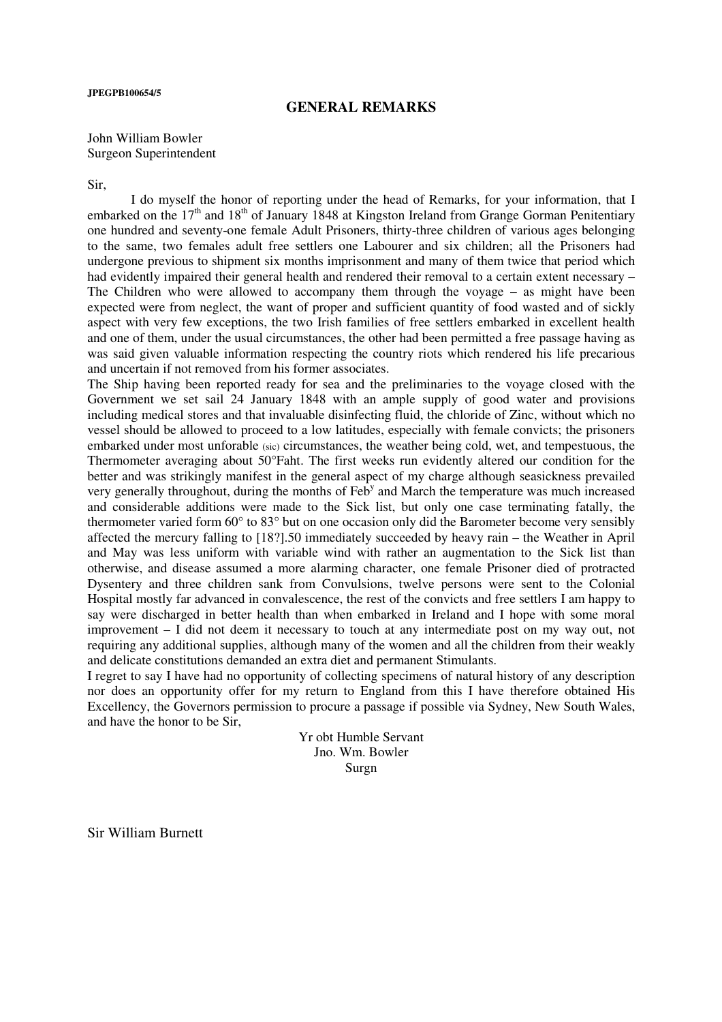### **JPEGPB100654/5**

## **GENERAL REMARKS**

John William Bowler Surgeon Superintendent

Sir,

 I do myself the honor of reporting under the head of Remarks, for your information, that I embarked on the  $17<sup>th</sup>$  and  $18<sup>th</sup>$  of January 1848 at Kingston Ireland from Grange Gorman Penitentiary one hundred and seventy-one female Adult Prisoners, thirty-three children of various ages belonging to the same, two females adult free settlers one Labourer and six children; all the Prisoners had undergone previous to shipment six months imprisonment and many of them twice that period which had evidently impaired their general health and rendered their removal to a certain extent necessary – The Children who were allowed to accompany them through the voyage – as might have been expected were from neglect, the want of proper and sufficient quantity of food wasted and of sickly aspect with very few exceptions, the two Irish families of free settlers embarked in excellent health and one of them, under the usual circumstances, the other had been permitted a free passage having as was said given valuable information respecting the country riots which rendered his life precarious and uncertain if not removed from his former associates.

The Ship having been reported ready for sea and the preliminaries to the voyage closed with the Government we set sail 24 January 1848 with an ample supply of good water and provisions including medical stores and that invaluable disinfecting fluid, the chloride of Zinc, without which no vessel should be allowed to proceed to a low latitudes, especially with female convicts; the prisoners embarked under most unforable (sic) circumstances, the weather being cold, wet, and tempestuous, the Thermometer averaging about 50°Faht. The first weeks run evidently altered our condition for the better and was strikingly manifest in the general aspect of my charge although seasickness prevailed very generally throughout, during the months of Feb<sup>y</sup> and March the temperature was much increased and considerable additions were made to the Sick list, but only one case terminating fatally, the thermometer varied form 60° to 83° but on one occasion only did the Barometer become very sensibly affected the mercury falling to [18?].50 immediately succeeded by heavy rain – the Weather in April and May was less uniform with variable wind with rather an augmentation to the Sick list than otherwise, and disease assumed a more alarming character, one female Prisoner died of protracted Dysentery and three children sank from Convulsions, twelve persons were sent to the Colonial Hospital mostly far advanced in convalescence, the rest of the convicts and free settlers I am happy to say were discharged in better health than when embarked in Ireland and I hope with some moral improvement – I did not deem it necessary to touch at any intermediate post on my way out, not requiring any additional supplies, although many of the women and all the children from their weakly and delicate constitutions demanded an extra diet and permanent Stimulants.

I regret to say I have had no opportunity of collecting specimens of natural history of any description nor does an opportunity offer for my return to England from this I have therefore obtained His Excellency, the Governors permission to procure a passage if possible via Sydney, New South Wales, and have the honor to be Sir,

> Yr obt Humble Servant Jno. Wm. Bowler Surgn

Sir William Burnett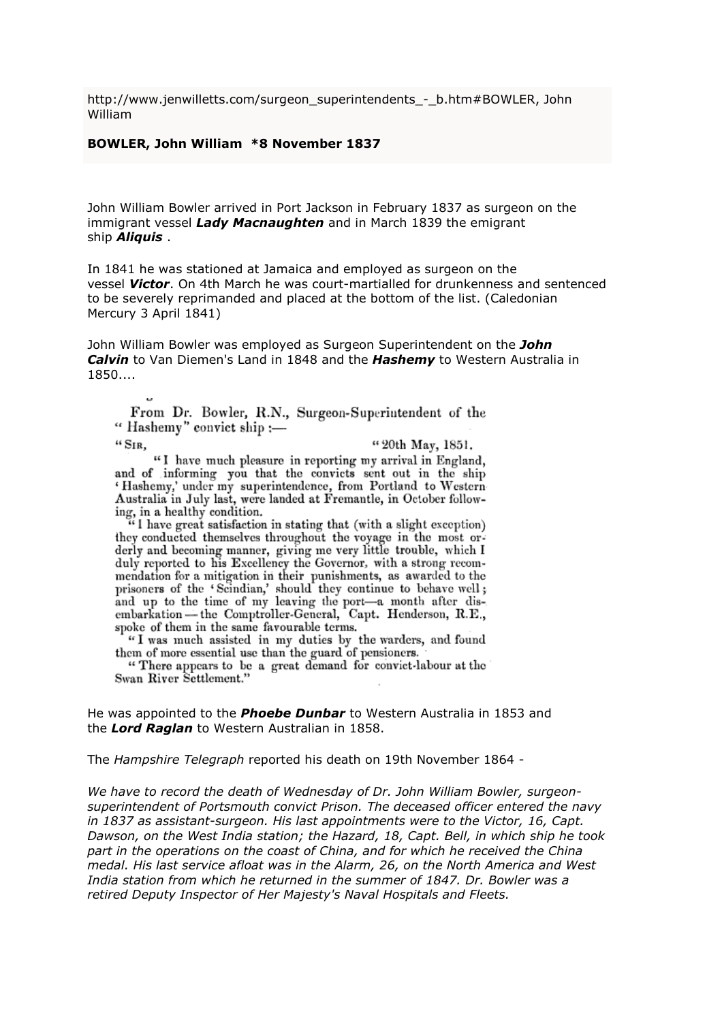http://www.jenwilletts.com/surgeon\_superintendents\_-\_b.htm#BOWLER, John William

### BOWLER, John William \*8 November 1837

John William Bowler arrived in Port Jackson in February 1837 as surgeon on the immigrant vessel Lady Macnaughten and in March 1839 the emigrant ship **Aliquis**.

In 1841 he was stationed at Jamaica and employed as surgeon on the vessel Victor. On 4th March he was court-martialled for drunkenness and sentenced to be severely reprimanded and placed at the bottom of the list. (Caledonian Mercury 3 April 1841)

John William Bowler was employed as Surgeon Superintendent on the John Calvin to Van Diemen's Land in 1848 and the Hashemy to Western Australia in 1850....

From Dr. Bowler, R.N., Surgeon-Superintendent of the "Hashemy" convict ship:-

 $``S_{IR}$ 

"20th May, 1851.

"I have much pleasure in reporting my arrival in England, and of informing you that the convicts sent out in the ship 'Hashemy,' under my superintendence, from Portland to Western-<br>Australia in July last, were landed at Fremantle, in October following, in a healthy condition.<br>"I have great satisfaction in stating that (with a slight exception)

they conducted themselves throughout the voyage in the most orderly and becoming manner, giving me very little trouble, which I duly reported to his Excellency the Governor, with a strong recommendation for a mitigation in their punishments, as awarded to the prisoners of the 'Scindian,' should they continue to behave well; and up to the time of my leaving the port-a month after disembarkation - the Comptroller-General, Capt. Henderson, R.E., spoke of them in the same favourable terms.

"I was much assisted in my duties by the warders, and found them of more essential use than the guard of pensioners.

"There appears to be a great demand for convict-labour at the Swan River Settlement."

He was appointed to the **Phoebe Dunbar** to Western Australia in 1853 and the Lord Raglan to Western Australian in 1858.

The Hampshire Telegraph reported his death on 19th November 1864 -

We have to record the death of Wednesday of Dr. John William Bowler, surgeonsuperintendent of Portsmouth convict Prison. The deceased officer entered the navy in 1837 as assistant-surgeon. His last appointments were to the Victor, 16, Capt. Dawson, on the West India station; the Hazard, 18, Capt. Bell, in which ship he took part in the operations on the coast of China, and for which he received the China medal. His last service afloat was in the Alarm, 26, on the North America and West India station from which he returned in the summer of 1847. Dr. Bowler was a retired Deputy Inspector of Her Majesty's Naval Hospitals and Fleets.